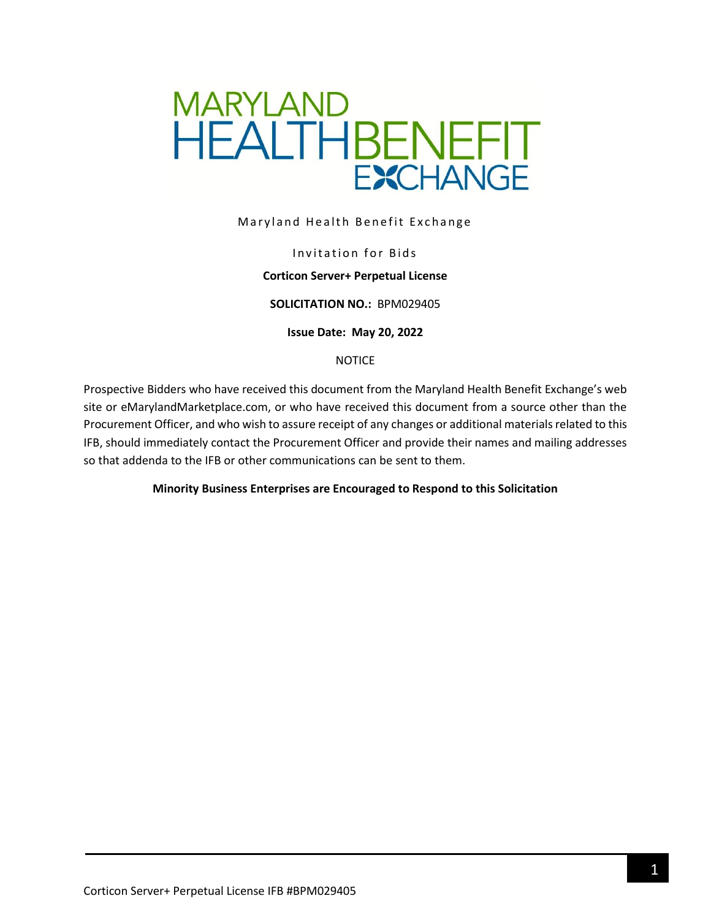

Maryland Health Benefit Exchange

#### Invitation for Bids

#### **Corticon Server+ Perpetual License**

#### **SOLICITATION NO.:** BPM029405

**Issue Date: May 20, 2022**

#### NOTICE

Prospective Bidders who have received this document from the Maryland Health Benefit Exchange's web site or eMarylandMarketplace.com, or who have received this document from a source other than the Procurement Officer, and who wish to assure receipt of any changes or additional materials related to this IFB, should immediately contact the Procurement Officer and provide their names and mailing addresses so that addenda to the IFB or other communications can be sent to them.

#### **Minority Business Enterprises are Encouraged to Respond to this Solicitation**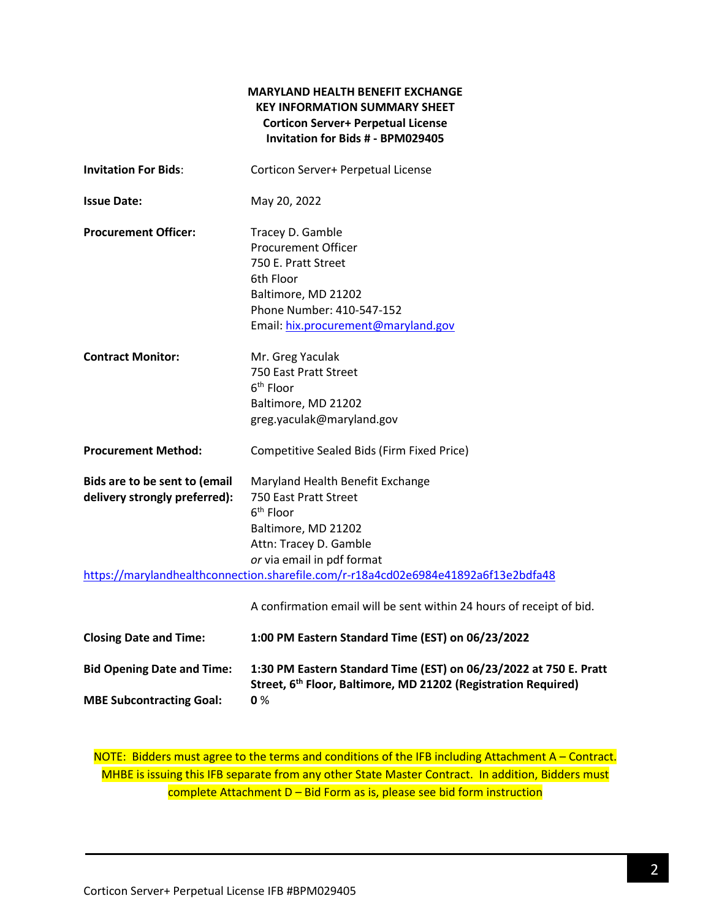### **MARYLAND HEALTH BENEFIT EXCHANGE KEY INFORMATION SUMMARY SHEET Corticon Server+ Perpetual License Invitation for Bids # - BPM029405**

| <b>Invitation For Bids:</b>   | Corticon Server+ Perpetual License                                                          |
|-------------------------------|---------------------------------------------------------------------------------------------|
| <b>Issue Date:</b>            | May 20, 2022                                                                                |
| <b>Procurement Officer:</b>   | Tracey D. Gamble<br><b>Procurement Officer</b>                                              |
|                               | 750 E. Pratt Street                                                                         |
|                               | 6th Floor                                                                                   |
|                               | Baltimore, MD 21202                                                                         |
|                               | Phone Number: 410-547-152                                                                   |
|                               | Email: hix.procurement@maryland.gov                                                         |
| <b>Contract Monitor:</b>      | Mr. Greg Yaculak                                                                            |
|                               | 750 East Pratt Street                                                                       |
|                               | 6 <sup>th</sup> Floor                                                                       |
|                               | Baltimore, MD 21202                                                                         |
|                               | greg.yaculak@maryland.gov                                                                   |
| <b>Procurement Method:</b>    | Competitive Sealed Bids (Firm Fixed Price)                                                  |
| Bids are to be sent to (email | Maryland Health Benefit Exchange                                                            |
| delivery strongly preferred): | 750 East Pratt Street                                                                       |
|                               | $6th$ Floor                                                                                 |
|                               | Baltimore, MD 21202                                                                         |
|                               | Attn: Tracey D. Gamble                                                                      |
|                               | or via email in pdf format                                                                  |
|                               | https://marylandhealthconnection.sharefile.com/r-r18a4cd02e6984e41892a6f13e2bdfa48          |
|                               | A confirmation email will be sent within 24 hours of receipt of bid.                        |
| <b>Closing Date and Time:</b> | 1:00 PM Eastern Standard Time (EST) on 06/23/2022                                           |
|                               | Rid Ononing Date and Time: 1:20 BM Eastern Standard Time (EST) on OE (22/2022 at 7EQ E. Dr. |

**Bid Opening Date and Time: 1:30 PM Eastern Standard Time (EST) on 06/23/2022 at 750 E. Pratt Street, 6 th Floor, Baltimore, MD 21202 (Registration Required) MBE Subcontracting Goal: 0** %

NOTE: Bidders must agree to the terms and conditions of the IFB including Attachment A – Contract. MHBE is issuing this IFB separate from any other State Master Contract. In addition, Bidders must complete Attachment D – Bid Form as is, please see bid form instruction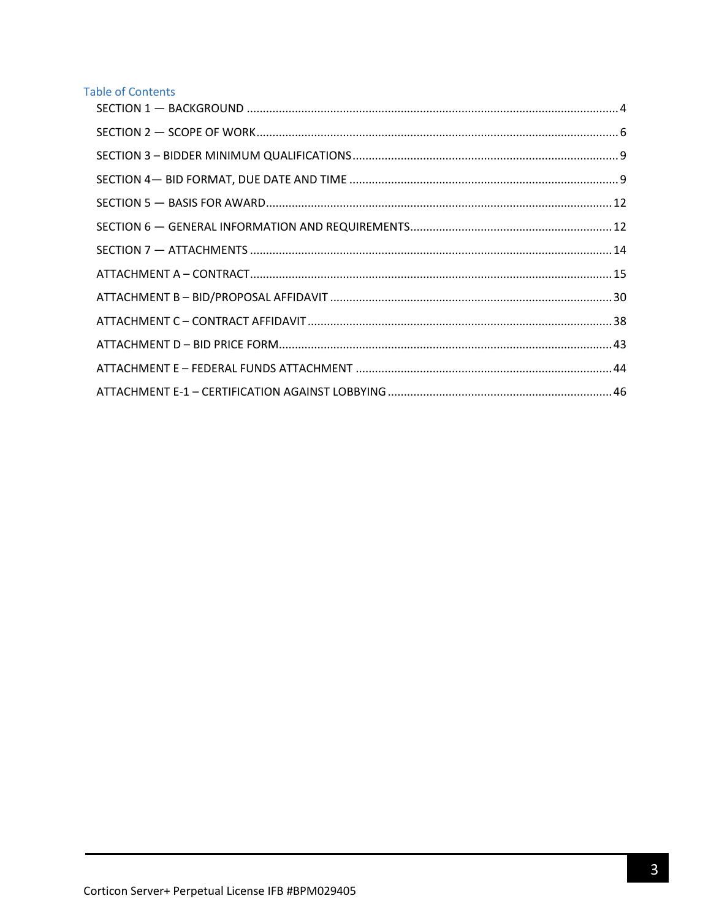# **Table of Contents**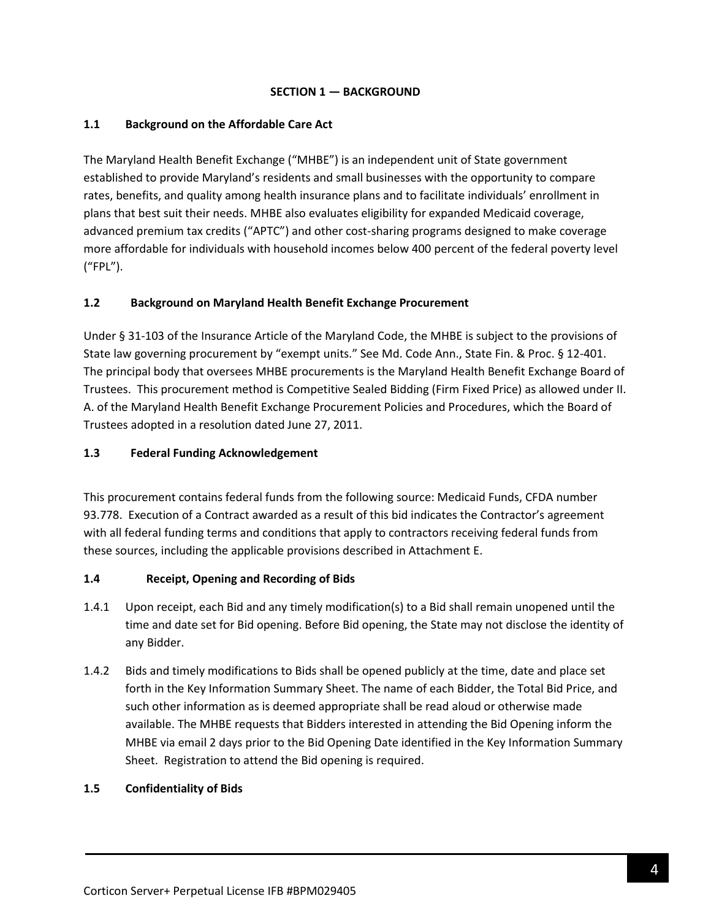### **SECTION 1 — BACKGROUND**

### <span id="page-3-0"></span>**1.1 Background on the Affordable Care Act**

The Maryland Health Benefit Exchange ("MHBE") is an independent unit of State government established to provide Maryland's residents and small businesses with the opportunity to compare rates, benefits, and quality among health insurance plans and to facilitate individuals' enrollment in plans that best suit their needs. MHBE also evaluates eligibility for expanded Medicaid coverage, advanced premium tax credits ("APTC") and other cost-sharing programs designed to make coverage more affordable for individuals with household incomes below 400 percent of the federal poverty level ("FPL").

## **1.2 Background on Maryland Health Benefit Exchange Procurement**

Under § 31-103 of the Insurance Article of the Maryland Code, the MHBE is subject to the provisions of State law governing procurement by "exempt units." See Md. Code Ann., State Fin. & Proc. § 12-401. The principal body that oversees MHBE procurements is the Maryland Health Benefit Exchange Board of Trustees. This procurement method is Competitive Sealed Bidding (Firm Fixed Price) as allowed under II. A. of the Maryland Health Benefit Exchange Procurement Policies and Procedures, which the Board of Trustees adopted in a resolution dated June 27, 2011.

### **1.3 Federal Funding Acknowledgement**

This procurement contains federal funds from the following source: Medicaid Funds, CFDA number 93.778. Execution of a Contract awarded as a result of this bid indicates the Contractor's agreement with all federal funding terms and conditions that apply to contractors receiving federal funds from these sources, including the applicable provisions described in Attachment E.

#### **1.4 Receipt, Opening and Recording of Bids**

- 1.4.1 Upon receipt, each Bid and any timely modification(s) to a Bid shall remain unopened until the time and date set for Bid opening. Before Bid opening, the State may not disclose the identity of any Bidder.
- 1.4.2 Bids and timely modifications to Bids shall be opened publicly at the time, date and place set forth in the Key Information Summary Sheet. The name of each Bidder, the Total Bid Price, and such other information as is deemed appropriate shall be read aloud or otherwise made available. The MHBE requests that Bidders interested in attending the Bid Opening inform the MHBE via email 2 days prior to the Bid Opening Date identified in the Key Information Summary Sheet. Registration to attend the Bid opening is required.

#### **1.5 Confidentiality of Bids**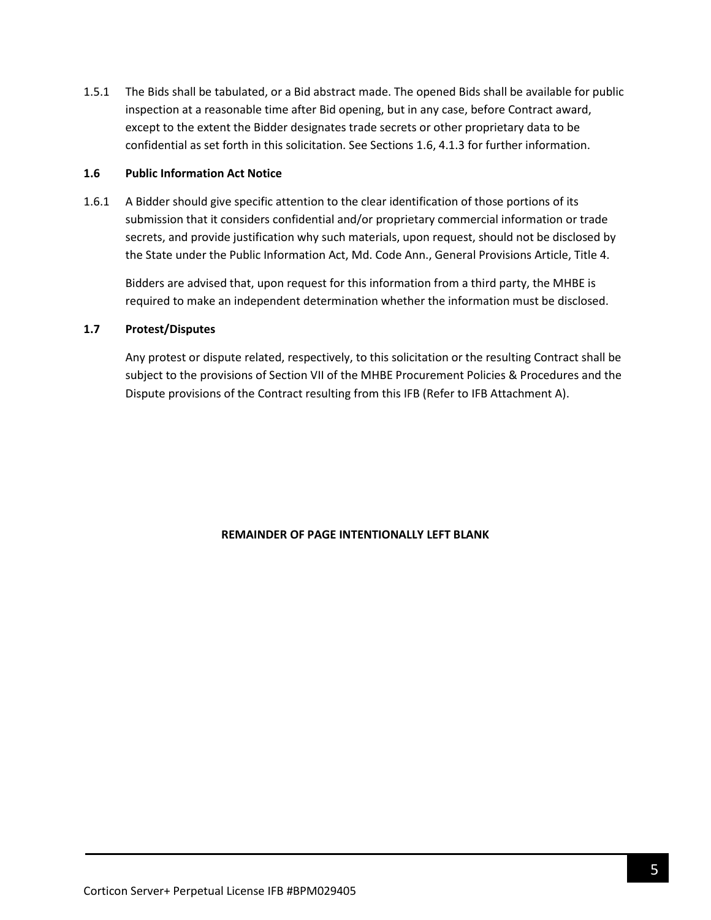1.5.1 The Bids shall be tabulated, or a Bid abstract made. The opened Bids shall be available for public inspection at a reasonable time after Bid opening, but in any case, before Contract award, except to the extent the Bidder designates trade secrets or other proprietary data to be confidential as set forth in this solicitation. See Sections 1.6, 4.1.3 for further information.

#### **1.6 Public Information Act Notice**

1.6.1 A Bidder should give specific attention to the clear identification of those portions of its submission that it considers confidential and/or proprietary commercial information or trade secrets, and provide justification why such materials, upon request, should not be disclosed by the State under the Public Information Act, Md. Code Ann., General Provisions Article, Title 4.

Bidders are advised that, upon request for this information from a third party, the MHBE is required to make an independent determination whether the information must be disclosed.

#### **1.7 Protest/Disputes**

Any protest or dispute related, respectively, to this solicitation or the resulting Contract shall be subject to the provisions of Section VII of the MHBE Procurement Policies & Procedures and the Dispute provisions of the Contract resulting from this IFB (Refer to IFB Attachment A).

#### **REMAINDER OF PAGE INTENTIONALLY LEFT BLANK**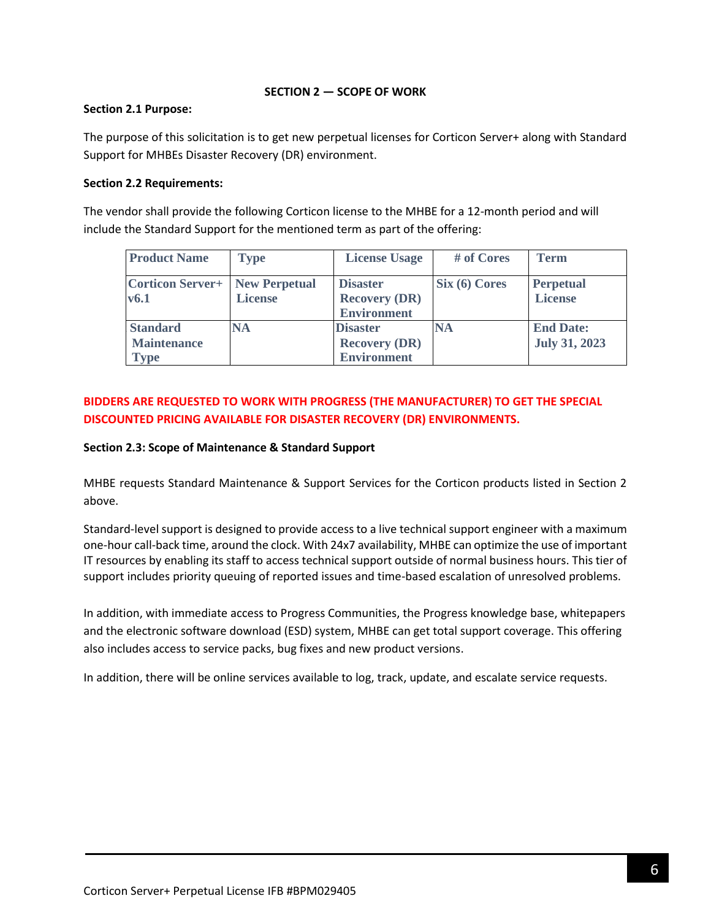### **SECTION 2 — SCOPE OF WORK**

### <span id="page-5-0"></span>**Section 2.1 Purpose:**

The purpose of this solicitation is to get new perpetual licenses for Corticon Server+ along with Standard Support for MHBEs Disaster Recovery (DR) environment.

## **Section 2.2 Requirements:**

The vendor shall provide the following Corticon license to the MHBE for a 12-month period and will include the Standard Support for the mentioned term as part of the offering:

| <b>Product Name</b>                             | <b>Type</b>    | <b>License Usage</b>                                          | # of Cores      | <b>Term</b>                              |
|-------------------------------------------------|----------------|---------------------------------------------------------------|-----------------|------------------------------------------|
| <b>Corticon Server+   New Perpetual</b><br>v6.1 | <b>License</b> | <b>Disaster</b><br><b>Recovery (DR)</b><br><b>Environment</b> | $Six (6)$ Cores | <b>Perpetual</b><br><b>License</b>       |
| <b>Standard</b><br><b>Maintenance</b><br>Type   | <b>NA</b>      | <b>Disaster</b><br><b>Recovery (DR)</b><br><b>Environment</b> | <b>NA</b>       | <b>End Date:</b><br><b>July 31, 2023</b> |

# **BIDDERS ARE REQUESTED TO WORK WITH PROGRESS (THE MANUFACTURER) TO GET THE SPECIAL DISCOUNTED PRICING AVAILABLE FOR DISASTER RECOVERY (DR) ENVIRONMENTS.**

### **Section 2.3: Scope of Maintenance & Standard Support**

MHBE requests Standard Maintenance & Support Services for the Corticon products listed in Section 2 above.

Standard-level support is designed to provide access to a live technical support engineer with a maximum one-hour call-back time, around the clock. With 24x7 availability, MHBE can optimize the use of important IT resources by enabling its staff to access technical support outside of normal business hours. This tier of support includes priority queuing of reported issues and time-based escalation of unresolved problems.

In addition, with immediate access to Progress Communities, the Progress knowledge base, whitepapers and the electronic software download (ESD) system, MHBE can get total support coverage. This offering also includes access to service packs, bug fixes and new product versions.

In addition, there will be online services available to log, track, update, and escalate service requests.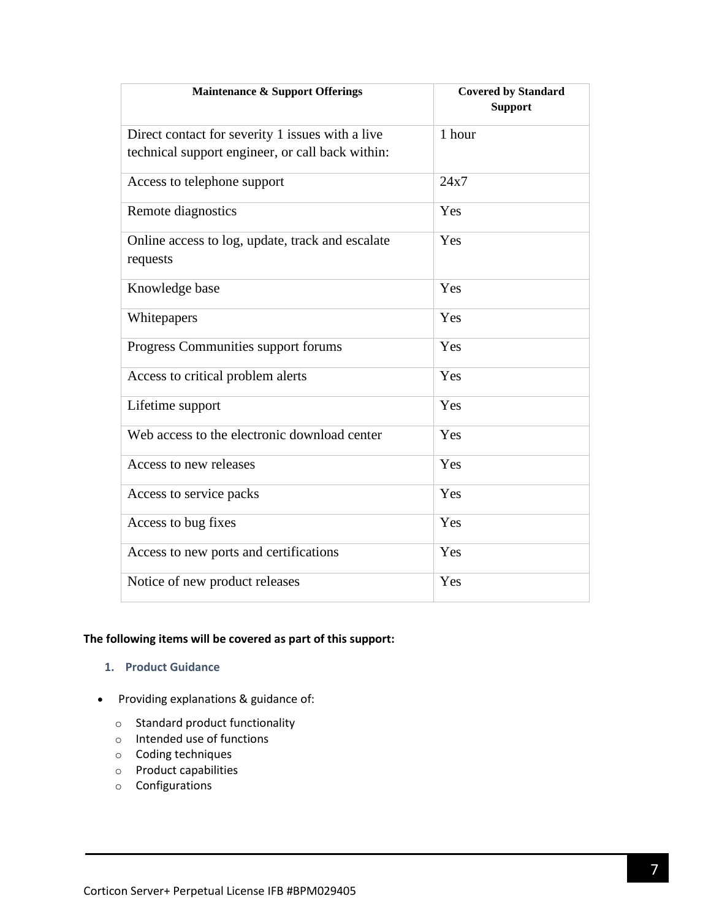| <b>Maintenance &amp; Support Offerings</b>                   | <b>Covered by Standard</b><br><b>Support</b> |
|--------------------------------------------------------------|----------------------------------------------|
| Direct contact for severity 1 issues with a live             | 1 hour                                       |
| technical support engineer, or call back within:             |                                              |
| Access to telephone support                                  | 24x7                                         |
| Remote diagnostics                                           | Yes                                          |
| Online access to log, update, track and escalate<br>requests | Yes                                          |
| Knowledge base                                               | Yes                                          |
| Whitepapers                                                  | Yes                                          |
| Progress Communities support forums                          | Yes                                          |
| Access to critical problem alerts                            | Yes                                          |
| Lifetime support                                             | Yes                                          |
| Web access to the electronic download center                 | Yes                                          |
| Access to new releases                                       | Yes                                          |
| Access to service packs                                      | Yes                                          |
| Access to bug fixes                                          | Yes                                          |
| Access to new ports and certifications                       | Yes                                          |
| Notice of new product releases                               | Yes                                          |

## **The following items will be covered as part of this support:**

- **1. Product Guidance**
- Providing explanations & guidance of:
	- o Standard product functionality
	- o Intended use of functions
	- o Coding techniques
	- o Product capabilities
	- o Configurations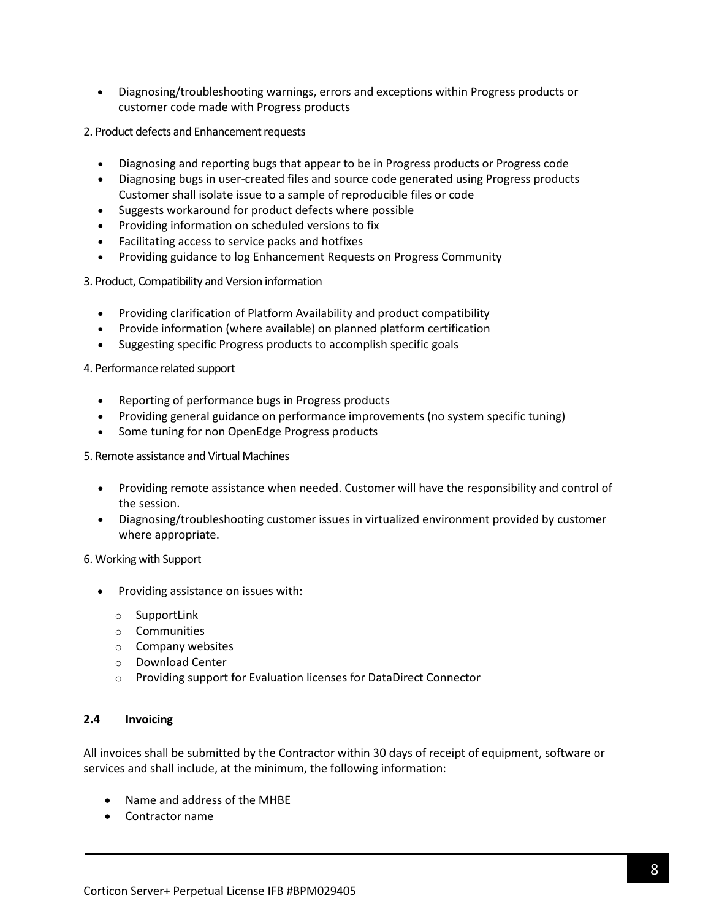• Diagnosing/troubleshooting warnings, errors and exceptions within Progress products or customer code made with Progress products

2. Product defects and Enhancement requests

- Diagnosing and reporting bugs that appear to be in Progress products or Progress code
- Diagnosing bugs in user-created files and source code generated using Progress products Customer shall isolate issue to a sample of reproducible files or code
- Suggests workaround for product defects where possible
- Providing information on scheduled versions to fix
- Facilitating access to service packs and hotfixes
- Providing guidance to log Enhancement Requests on Progress Community
- 3. Product, Compatibility and Version information
	- Providing clarification of Platform Availability and product compatibility
	- Provide information (where available) on planned platform certification
	- Suggesting specific Progress products to accomplish specific goals

4. Performance related support

- Reporting of performance bugs in Progress products
- Providing general guidance on performance improvements (no system specific tuning)
- Some tuning for non OpenEdge Progress products

5. Remote assistance and Virtual Machines

- Providing remote assistance when needed. Customer will have the responsibility and control of the session.
- Diagnosing/troubleshooting customer issues in virtualized environment provided by customer where appropriate.

6. Working with Support

- Providing assistance on issues with:
	- o SupportLink
	- o Communities
	- o Company websites
	- o Download Center
	- o Providing support for Evaluation licenses for DataDirect Connector

#### **2.4 Invoicing**

All invoices shall be submitted by the Contractor within 30 days of receipt of equipment, software or services and shall include, at the minimum, the following information:

- Name and address of the MHBE
- Contractor name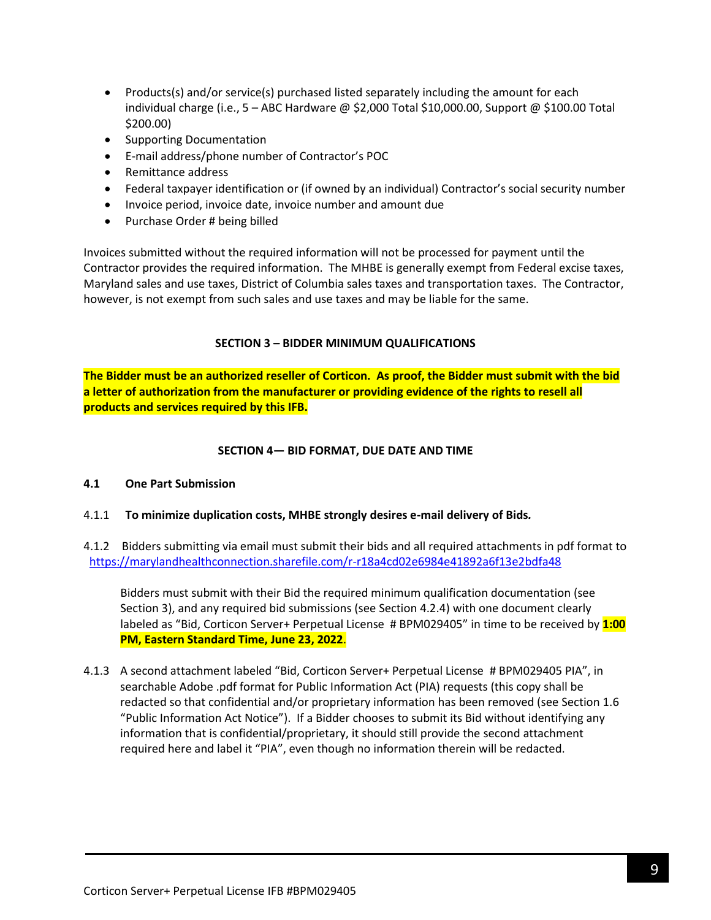- Products(s) and/or service(s) purchased listed separately including the amount for each individual charge (i.e., 5 – ABC Hardware @ \$2,000 Total \$10,000.00, Support @ \$100.00 Total \$200.00)
- Supporting Documentation
- E-mail address/phone number of Contractor's POC
- Remittance address
- Federal taxpayer identification or (if owned by an individual) Contractor's social security number
- Invoice period, invoice date, invoice number and amount due
- Purchase Order # being billed

Invoices submitted without the required information will not be processed for payment until the Contractor provides the required information. The MHBE is generally exempt from Federal excise taxes, Maryland sales and use taxes, District of Columbia sales taxes and transportation taxes. The Contractor, however, is not exempt from such sales and use taxes and may be liable for the same.

#### **SECTION 3 – BIDDER MINIMUM QUALIFICATIONS**

<span id="page-8-0"></span>**The Bidder must be an authorized reseller of Corticon. As proof, the Bidder must submit with the bid a letter of authorization from the manufacturer or providing evidence of the rights to resell all products and services required by this IFB.**

#### **SECTION 4— BID FORMAT, DUE DATE AND TIME**

#### <span id="page-8-1"></span>**4.1 One Part Submission**

- 4.1.1 **To minimize duplication costs, MHBE strongly desires e-mail delivery of Bids***.*
- 4.1.2 Bidders submitting via email must submit their bids and all required attachments in pdf format to <https://marylandhealthconnection.sharefile.com/r-r18a4cd02e6984e41892a6f13e2bdfa48>

Bidders must submit with their Bid the required minimum qualification documentation (see Section 3), and any required bid submissions (see Section 4.2.4) with one document clearly labeled as "Bid, Corticon Server+ Perpetual License # BPM029405" in time to be received by **1:00 PM, Eastern Standard Time, June 23, 2022**.

4.1.3 A second attachment labeled "Bid, Corticon Server+ Perpetual License # BPM029405 PIA", in searchable Adobe .pdf format for Public Information Act (PIA) requests (this copy shall be redacted so that confidential and/or proprietary information has been removed (see Section 1.6 "Public Information Act Notice"). If a Bidder chooses to submit its Bid without identifying any information that is confidential/proprietary, it should still provide the second attachment required here and label it "PIA", even though no information therein will be redacted.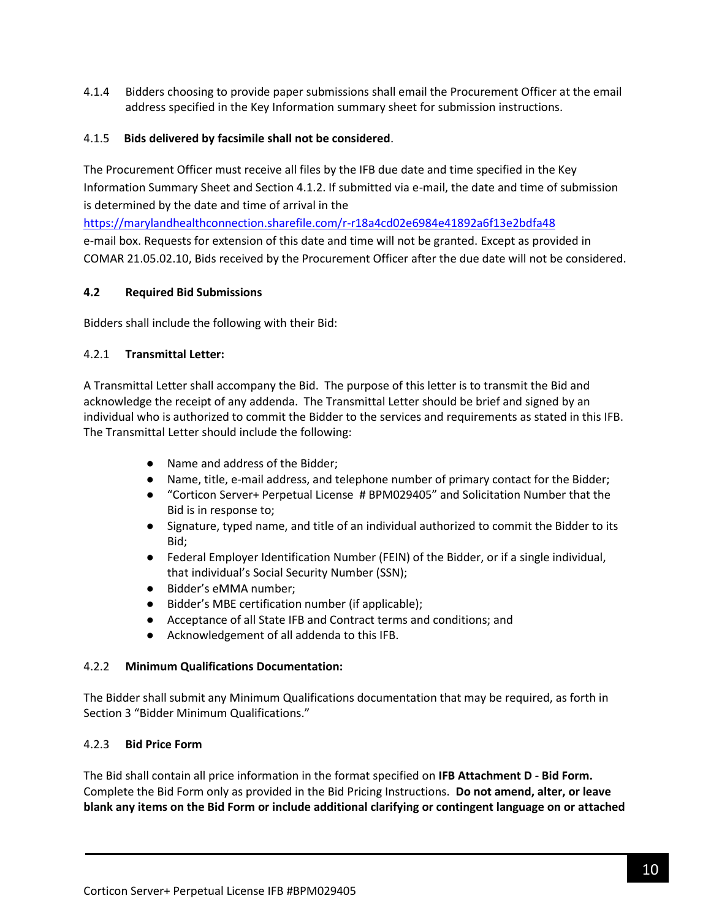4.1.4 Bidders choosing to provide paper submissions shall email the Procurement Officer at the email address specified in the Key Information summary sheet for submission instructions.

### 4.1.5 **Bids delivered by facsimile shall not be considered**.

The Procurement Officer must receive all files by the IFB due date and time specified in the Key Information Summary Sheet and Section 4.1.2. If submitted via e-mail, the date and time of submission is determined by the date and time of arrival in the

<https://marylandhealthconnection.sharefile.com/r-r18a4cd02e6984e41892a6f13e2bdfa48> e-mail box. Requests for extension of this date and time will not be granted. Except as provided in COMAR 21.05.02.10, Bids received by the Procurement Officer after the due date will not be considered.

### **4.2 Required Bid Submissions**

Bidders shall include the following with their Bid:

### 4.2.1 **Transmittal Letter:**

A Transmittal Letter shall accompany the Bid. The purpose of this letter is to transmit the Bid and acknowledge the receipt of any addenda. The Transmittal Letter should be brief and signed by an individual who is authorized to commit the Bidder to the services and requirements as stated in this IFB. The Transmittal Letter should include the following:

- Name and address of the Bidder;
- Name, title, e-mail address, and telephone number of primary contact for the Bidder;
- "Corticon Server+ Perpetual License # BPM029405" and Solicitation Number that the Bid is in response to;
- Signature, typed name, and title of an individual authorized to commit the Bidder to its Bid;
- Federal Employer Identification Number (FEIN) of the Bidder, or if a single individual, that individual's Social Security Number (SSN);
- Bidder's eMMA number;
- Bidder's MBE certification number (if applicable);
- Acceptance of all State IFB and Contract terms and conditions; and
- Acknowledgement of all addenda to this IFB.

## 4.2.2 **Minimum Qualifications Documentation:**

The Bidder shall submit any Minimum Qualifications documentation that may be required, as forth in Section 3 "Bidder Minimum Qualifications."

## 4.2.3 **Bid Price Form**

The Bid shall contain all price information in the format specified on **IFB Attachment D - Bid Form.** Complete the Bid Form only as provided in the Bid Pricing Instructions. **Do not amend, alter, or leave blank any items on the Bid Form or include additional clarifying or contingent language on or attached**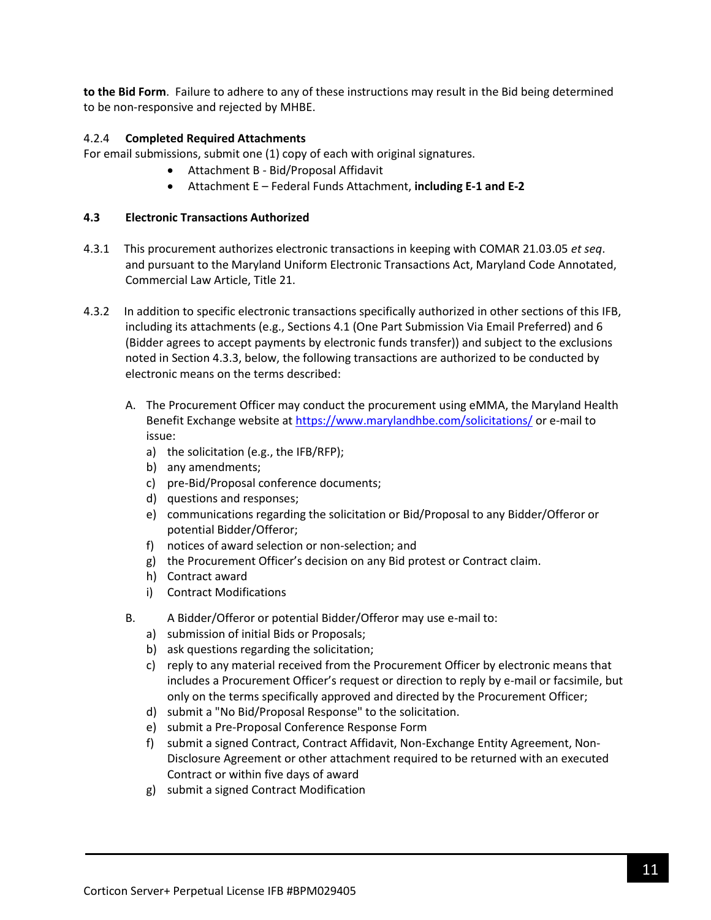**to the Bid Form**. Failure to adhere to any of these instructions may result in the Bid being determined to be non-responsive and rejected by MHBE.

### 4.2.4 **Completed Required Attachments**

For email submissions, submit one (1) copy of each with original signatures.

- Attachment B Bid/Proposal Affidavit
- Attachment E Federal Funds Attachment, **including E-1 and E-2**

### **4.3 Electronic Transactions Authorized**

- 4.3.1 This procurement authorizes electronic transactions in keeping with COMAR 21.03.05 *et seq*. and pursuant to the Maryland Uniform Electronic Transactions Act, Maryland Code Annotated, Commercial Law Article, Title 21.
- 4.3.2 In addition to specific electronic transactions specifically authorized in other sections of this IFB, including its attachments (e.g., Sections 4.1 (One Part Submission Via Email Preferred) and 6 (Bidder agrees to accept payments by electronic funds transfer)) and subject to the exclusions noted in Section 4.3.3, below, the following transactions are authorized to be conducted by electronic means on the terms described:
	- A. The Procurement Officer may conduct the procurement using eMMA, the Maryland Health Benefit Exchange website a[t https://www.marylandhbe.com/solicitations/](https://www.marylandhbe.com/solicitations/) or e-mail to issue:
		- a) the solicitation (e.g., the IFB/RFP);
		- b) any amendments;
		- c) pre-Bid/Proposal conference documents;
		- d) questions and responses;
		- e) communications regarding the solicitation or Bid/Proposal to any Bidder/Offeror or potential Bidder/Offeror;
		- f) notices of award selection or non-selection; and
		- g) the Procurement Officer's decision on any Bid protest or Contract claim.
		- h) Contract award
		- i) Contract Modifications
	- B. A Bidder/Offeror or potential Bidder/Offeror may use e-mail to:
		- a) submission of initial Bids or Proposals;
		- b) ask questions regarding the solicitation;
		- c) reply to any material received from the Procurement Officer by electronic means that includes a Procurement Officer's request or direction to reply by e-mail or facsimile, but only on the terms specifically approved and directed by the Procurement Officer;
		- d) submit a "No Bid/Proposal Response" to the solicitation.
		- e) submit a Pre-Proposal Conference Response Form
		- f) submit a signed Contract, Contract Affidavit, Non-Exchange Entity Agreement, Non-Disclosure Agreement or other attachment required to be returned with an executed Contract or within five days of award
		- g) submit a signed Contract Modification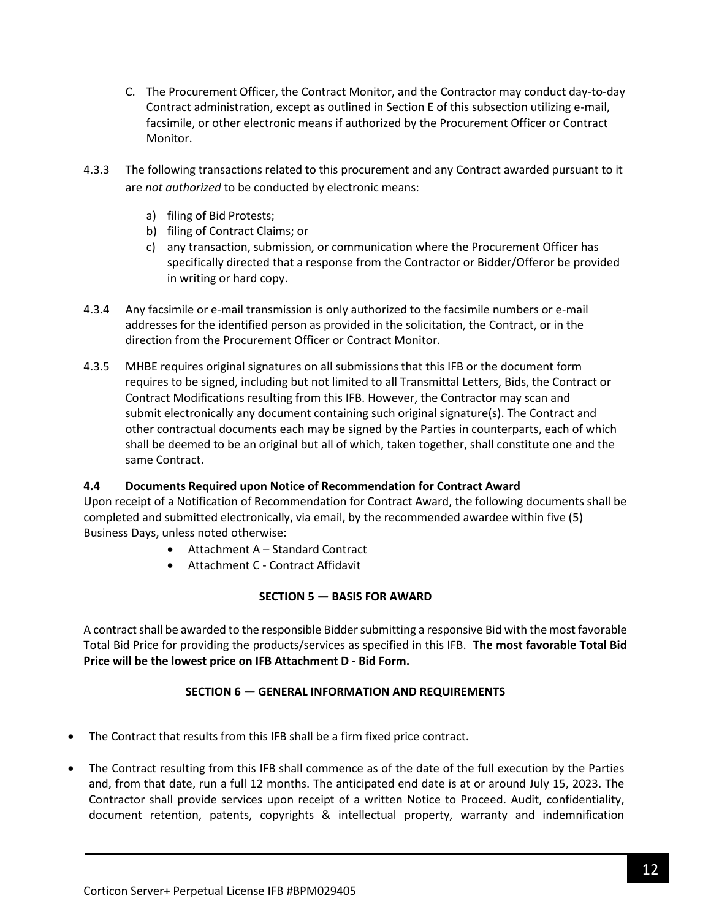- C. The Procurement Officer, the Contract Monitor, and the Contractor may conduct day-to-day Contract administration, except as outlined in Section E of this subsection utilizing e-mail, facsimile, or other electronic means if authorized by the Procurement Officer or Contract Monitor.
- 4.3.3 The following transactions related to this procurement and any Contract awarded pursuant to it are *not authorized* to be conducted by electronic means:
	- a) filing of Bid Protests;
	- b) filing of Contract Claims; or
	- c) any transaction, submission, or communication where the Procurement Officer has specifically directed that a response from the Contractor or Bidder/Offeror be provided in writing or hard copy.
- 4.3.4 Any facsimile or e-mail transmission is only authorized to the facsimile numbers or e-mail addresses for the identified person as provided in the solicitation, the Contract, or in the direction from the Procurement Officer or Contract Monitor.
- 4.3.5 MHBE requires original signatures on all submissions that this IFB or the document form requires to be signed, including but not limited to all Transmittal Letters, Bids, the Contract or Contract Modifications resulting from this IFB. However, the Contractor may scan and submit electronically any document containing such original signature(s). The Contract and other contractual documents each may be signed by the Parties in counterparts, each of which shall be deemed to be an original but all of which, taken together, shall constitute one and the same Contract.

## **4.4 Documents Required upon Notice of Recommendation for Contract Award**

Upon receipt of a Notification of Recommendation for Contract Award, the following documents shall be completed and submitted electronically, via email, by the recommended awardee within five (5) Business Days, unless noted otherwise:

- Attachment A Standard Contract
- Attachment C Contract Affidavit

## **SECTION 5 — BASIS FOR AWARD**

<span id="page-11-0"></span>A contract shall be awarded to the responsible Bidder submitting a responsive Bid with the most favorable Total Bid Price for providing the products/services as specified in this IFB. **The most favorable Total Bid Price will be the lowest price on IFB Attachment D - Bid Form.**

## **SECTION 6 — GENERAL INFORMATION AND REQUIREMENTS**

- <span id="page-11-1"></span>• The Contract that results from this IFB shall be a firm fixed price contract.
- The Contract resulting from this IFB shall commence as of the date of the full execution by the Parties and, from that date, run a full 12 months. The anticipated end date is at or around July 15, 2023. The Contractor shall provide services upon receipt of a written Notice to Proceed. Audit, confidentiality, document retention, patents, copyrights & intellectual property, warranty and indemnification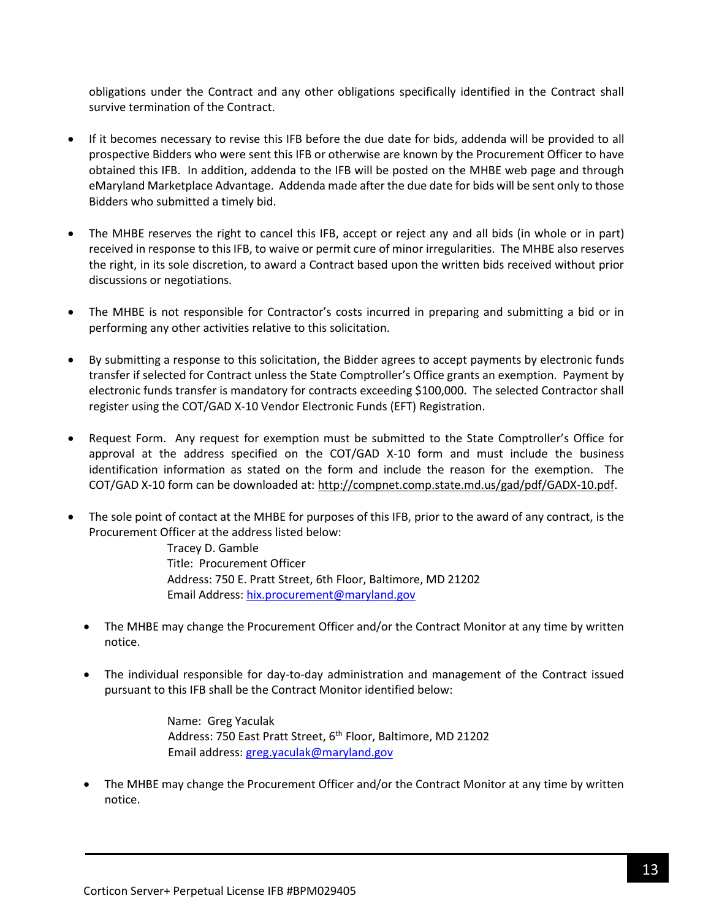obligations under the Contract and any other obligations specifically identified in the Contract shall survive termination of the Contract.

- If it becomes necessary to revise this IFB before the due date for bids, addenda will be provided to all prospective Bidders who were sent this IFB or otherwise are known by the Procurement Officer to have obtained this IFB. In addition, addenda to the IFB will be posted on the MHBE web page and through eMaryland Marketplace Advantage. Addenda made after the due date for bids will be sent only to those Bidders who submitted a timely bid.
- The MHBE reserves the right to cancel this IFB, accept or reject any and all bids (in whole or in part) received in response to this IFB, to waive or permit cure of minor irregularities. The MHBE also reserves the right, in its sole discretion, to award a Contract based upon the written bids received without prior discussions or negotiations.
- The MHBE is not responsible for Contractor's costs incurred in preparing and submitting a bid or in performing any other activities relative to this solicitation.
- By submitting a response to this solicitation, the Bidder agrees to accept payments by electronic funds transfer if selected for Contract unless the State Comptroller's Office grants an exemption. Payment by electronic funds transfer is mandatory for contracts exceeding \$100,000. The selected Contractor shall register using the COT/GAD X-10 Vendor Electronic Funds (EFT) Registration.
- Request Form. Any request for exemption must be submitted to the State Comptroller's Office for approval at the address specified on the COT/GAD X-10 form and must include the business identification information as stated on the form and include the reason for the exemption. The COT/GAD X-10 form can be downloaded at[: http://compnet.comp.state.md.us/gad/pdf/GADX-10.pdf.](http://compnet.comp.state.md.us/gad/pdf/GADX-10.pdf)
- The sole point of contact at the MHBE for purposes of this IFB, prior to the award of any contract, is the Procurement Officer at the address listed below:

Tracey D. Gamble Title: Procurement Officer Address: 750 E. Pratt Street, 6th Floor, Baltimore, MD 21202 Email Address: [hix.procurement@maryland.gov](mailto:hix.procurement@maryland.gov)

- The MHBE may change the Procurement Officer and/or the Contract Monitor at any time by written notice.
- The individual responsible for day-to-day administration and management of the Contract issued pursuant to this IFB shall be the Contract Monitor identified below:

Name: Greg Yaculak Address: 750 East Pratt Street, 6<sup>th</sup> Floor, Baltimore, MD 21202 Email address: [greg.yaculak@maryland.gov](mailto:greg.yaculak@maryland.gov) 

• The MHBE may change the Procurement Officer and/or the Contract Monitor at any time by written notice.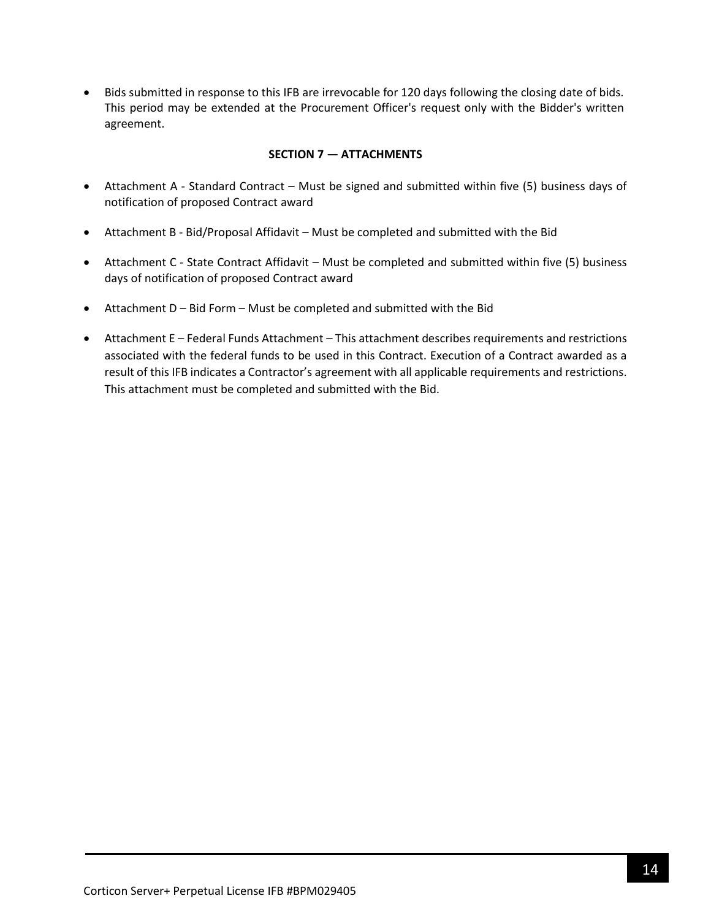• Bids submitted in response to this IFB are irrevocable for 120 days following the closing date of bids. This period may be extended at the Procurement Officer's request only with the Bidder's written agreement.

### **SECTION 7 — ATTACHMENTS**

- <span id="page-13-0"></span>• Attachment A - Standard Contract – Must be signed and submitted within five (5) business days of notification of proposed Contract award
- Attachment B Bid/Proposal Affidavit Must be completed and submitted with the Bid
- Attachment C State Contract Affidavit Must be completed and submitted within five (5) business days of notification of proposed Contract award
- Attachment D Bid Form Must be completed and submitted with the Bid
- Attachment E Federal Funds Attachment This attachment describes requirements and restrictions associated with the federal funds to be used in this Contract. Execution of a Contract awarded as a result of this IFB indicates a Contractor's agreement with all applicable requirements and restrictions. This attachment must be completed and submitted with the Bid.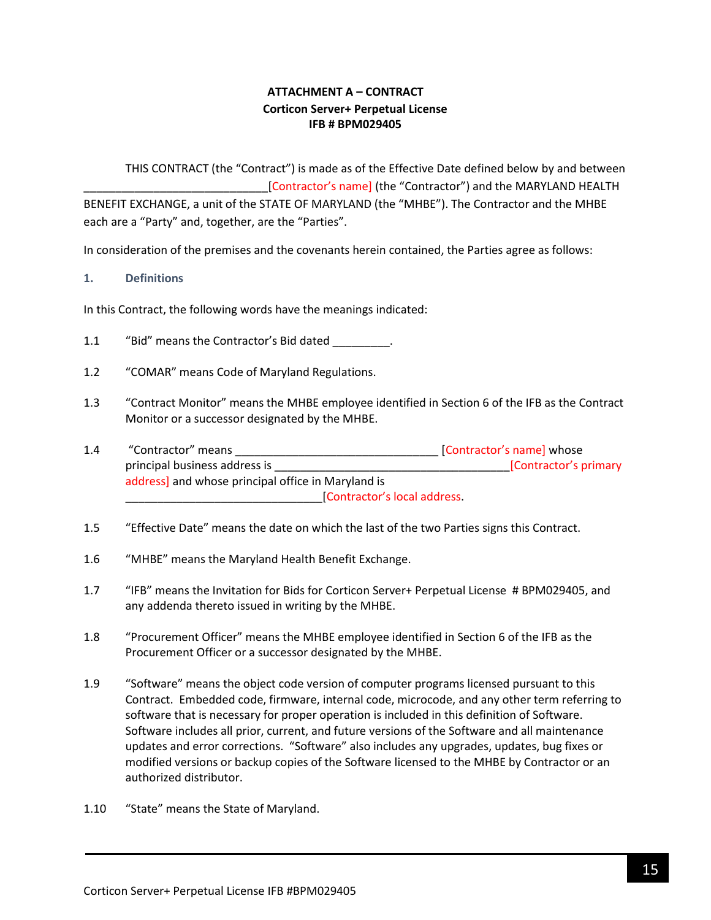# **ATTACHMENT A – CONTRACT Corticon Server+ Perpetual License IFB # BPM029405**

<span id="page-14-0"></span>THIS CONTRACT (the "Contract") is made as of the Effective Date defined below by and between [Contractor's name] (the "Contractor") and the MARYLAND HEALTH BENEFIT EXCHANGE, a unit of the STATE OF MARYLAND (the "MHBE"). The Contractor and the MHBE each are a "Party" and, together, are the "Parties".

In consideration of the premises and the covenants herein contained, the Parties agree as follows:

#### **1. Definitions**

In this Contract, the following words have the meanings indicated:

- 1.1 "Bid" means the Contractor's Bid dated \_\_\_\_\_\_\_\_.
- 1.2 "COMAR" means Code of Maryland Regulations.
- 1.3 "Contract Monitor" means the MHBE employee identified in Section 6 of the IFB as the Contract Monitor or a successor designated by the MHBE.
- 1.4 "Contractor" means \_\_\_\_\_\_\_\_\_\_\_\_\_\_\_\_\_\_\_\_\_\_\_\_\_\_\_\_\_\_\_\_ [Contractor's name] whose principal business address is \_\_\_\_\_\_\_\_\_\_\_\_\_\_\_\_\_\_\_\_\_\_\_\_\_\_\_\_\_\_\_\_\_\_\_\_\_[Contractor's primary address] and whose principal office in Maryland is \_\_\_\_\_\_\_\_\_\_\_\_\_\_\_\_\_\_\_\_\_\_\_\_\_\_\_\_\_\_\_[Contractor's local address.
- 1.5 "Effective Date" means the date on which the last of the two Parties signs this Contract.
- 1.6 "MHBE" means the Maryland Health Benefit Exchange.
- 1.7 "IFB" means the Invitation for Bids for Corticon Server+ Perpetual License # BPM029405, and any addenda thereto issued in writing by the MHBE.
- 1.8 "Procurement Officer" means the MHBE employee identified in Section 6 of the IFB as the Procurement Officer or a successor designated by the MHBE.
- 1.9 "Software" means the object code version of computer programs licensed pursuant to this Contract. Embedded code, firmware, internal code, microcode, and any other term referring to software that is necessary for proper operation is included in this definition of Software. Software includes all prior, current, and future versions of the Software and all maintenance updates and error corrections. "Software" also includes any upgrades, updates, bug fixes or modified versions or backup copies of the Software licensed to the MHBE by Contractor or an authorized distributor.
- 1.10 "State" means the State of Maryland.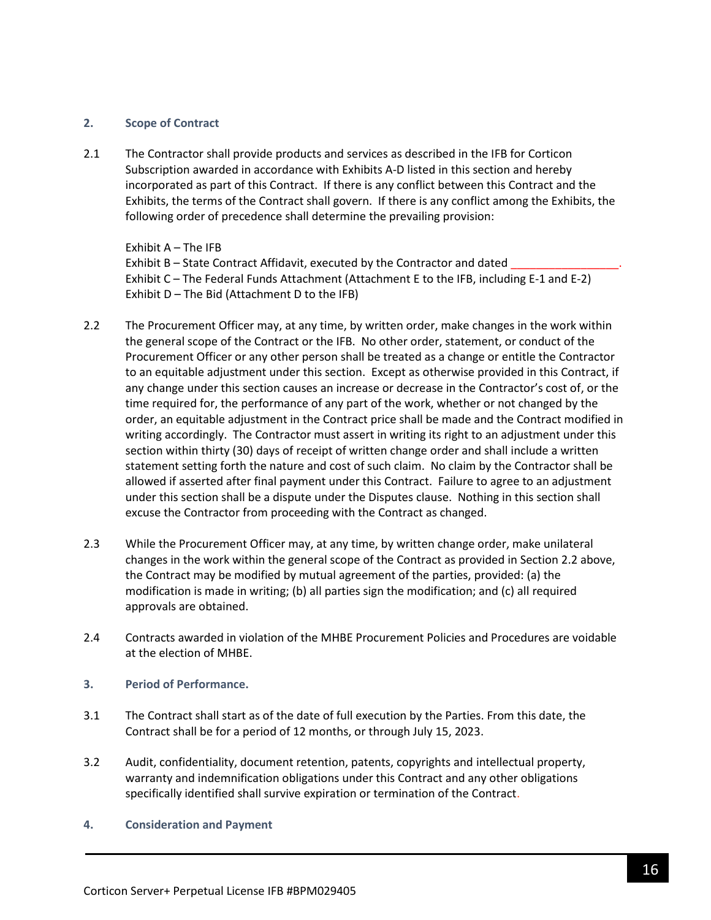#### **2. Scope of Contract**

2.1 The Contractor shall provide products and services as described in the IFB for Corticon Subscription awarded in accordance with Exhibits A-D listed in this section and hereby incorporated as part of this Contract. If there is any conflict between this Contract and the Exhibits, the terms of the Contract shall govern. If there is any conflict among the Exhibits, the following order of precedence shall determine the prevailing provision:

Exhibit A – The IFB Exhibit B – State Contract Affidavit, executed by the Contractor and dated Exhibit C – The Federal Funds Attachment (Attachment E to the IFB, including E-1 and E-2) Exhibit D – The Bid (Attachment D to the IFB)

- 2.2 The Procurement Officer may, at any time, by written order, make changes in the work within the general scope of the Contract or the IFB. No other order, statement, or conduct of the Procurement Officer or any other person shall be treated as a change or entitle the Contractor to an equitable adjustment under this section. Except as otherwise provided in this Contract, if any change under this section causes an increase or decrease in the Contractor's cost of, or the time required for, the performance of any part of the work, whether or not changed by the order, an equitable adjustment in the Contract price shall be made and the Contract modified in writing accordingly. The Contractor must assert in writing its right to an adjustment under this section within thirty (30) days of receipt of written change order and shall include a written statement setting forth the nature and cost of such claim. No claim by the Contractor shall be allowed if asserted after final payment under this Contract. Failure to agree to an adjustment under this section shall be a dispute under the Disputes clause. Nothing in this section shall excuse the Contractor from proceeding with the Contract as changed.
- 2.3 While the Procurement Officer may, at any time, by written change order, make unilateral changes in the work within the general scope of the Contract as provided in Section 2.2 above, the Contract may be modified by mutual agreement of the parties, provided: (a) the modification is made in writing; (b) all parties sign the modification; and (c) all required approvals are obtained.
- 2.4 Contracts awarded in violation of the MHBE Procurement Policies and Procedures are voidable at the election of MHBE.
- **3. Period of Performance.**
- 3.1 The Contract shall start as of the date of full execution by the Parties. From this date, the Contract shall be for a period of 12 months, or through July 15, 2023.
- 3.2 Audit, confidentiality, document retention, patents, copyrights and intellectual property, warranty and indemnification obligations under this Contract and any other obligations specifically identified shall survive expiration or termination of the Contract.
- **4. Consideration and Payment**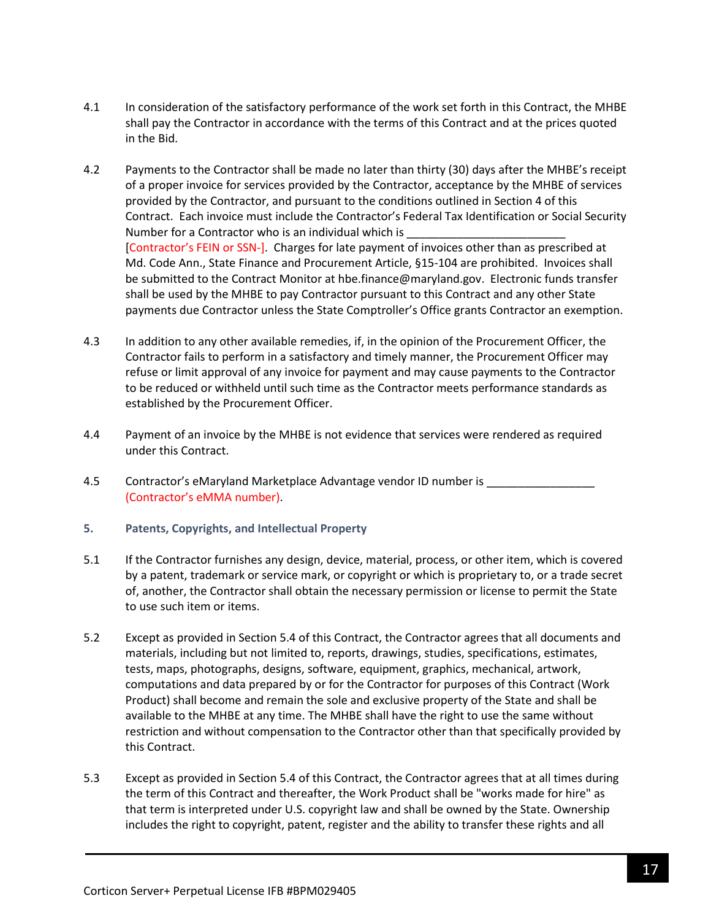- 4.1 In consideration of the satisfactory performance of the work set forth in this Contract, the MHBE shall pay the Contractor in accordance with the terms of this Contract and at the prices quoted in the Bid.
- 4.2 Payments to the Contractor shall be made no later than thirty (30) days after the MHBE's receipt of a proper invoice for services provided by the Contractor, acceptance by the MHBE of services provided by the Contractor, and pursuant to the conditions outlined in Section 4 of this Contract. Each invoice must include the Contractor's Federal Tax Identification or Social Security Number for a Contractor who is an individual which is [Contractor's FEIN or SSN-]. Charges for late payment of invoices other than as prescribed at Md. Code Ann., State Finance and Procurement Article, §15-104 are prohibited. Invoices shall be submitted to the Contract Monitor at hbe.finance@maryland.gov. Electronic funds transfer shall be used by the MHBE to pay Contractor pursuant to this Contract and any other State payments due Contractor unless the State Comptroller's Office grants Contractor an exemption.
- 4.3 In addition to any other available remedies, if, in the opinion of the Procurement Officer, the Contractor fails to perform in a satisfactory and timely manner, the Procurement Officer may refuse or limit approval of any invoice for payment and may cause payments to the Contractor to be reduced or withheld until such time as the Contractor meets performance standards as established by the Procurement Officer.
- 4.4 Payment of an invoice by the MHBE is not evidence that services were rendered as required under this Contract.
- 4.5 Contractor's eMaryland Marketplace Advantage vendor ID number is \_\_\_\_\_\_\_\_\_\_\_ (Contractor's eMMA number).
- **5. Patents, Copyrights, and Intellectual Property**
- 5.1 If the Contractor furnishes any design, device, material, process, or other item, which is covered by a patent, trademark or service mark, or copyright or which is proprietary to, or a trade secret of, another, the Contractor shall obtain the necessary permission or license to permit the State to use such item or items.
- 5.2 Except as provided in Section 5.4 of this Contract, the Contractor agrees that all documents and materials, including but not limited to, reports, drawings, studies, specifications, estimates, tests, maps, photographs, designs, software, equipment, graphics, mechanical, artwork, computations and data prepared by or for the Contractor for purposes of this Contract (Work Product) shall become and remain the sole and exclusive property of the State and shall be available to the MHBE at any time. The MHBE shall have the right to use the same without restriction and without compensation to the Contractor other than that specifically provided by this Contract.
- 5.3 Except as provided in Section 5.4 of this Contract, the Contractor agrees that at all times during the term of this Contract and thereafter, the Work Product shall be "works made for hire" as that term is interpreted under U.S. copyright law and shall be owned by the State. Ownership includes the right to copyright, patent, register and the ability to transfer these rights and all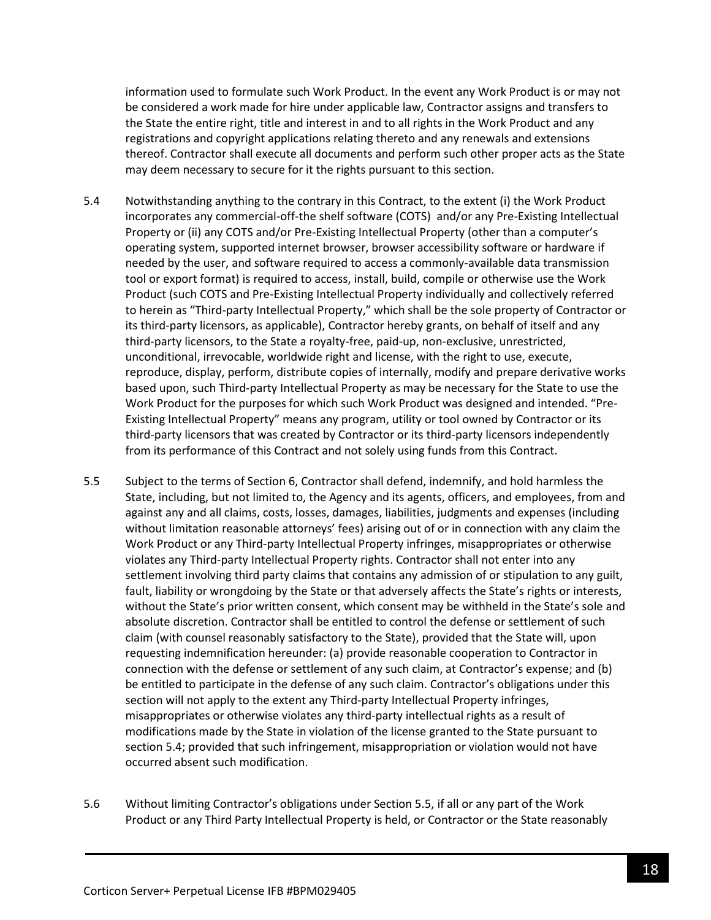information used to formulate such Work Product. In the event any Work Product is or may not be considered a work made for hire under applicable law, Contractor assigns and transfers to the State the entire right, title and interest in and to all rights in the Work Product and any registrations and copyright applications relating thereto and any renewals and extensions thereof. Contractor shall execute all documents and perform such other proper acts as the State may deem necessary to secure for it the rights pursuant to this section.

- 5.4 Notwithstanding anything to the contrary in this Contract, to the extent (i) the Work Product incorporates any commercial-off-the shelf software (COTS) and/or any Pre-Existing Intellectual Property or (ii) any COTS and/or Pre-Existing Intellectual Property (other than a computer's operating system, supported internet browser, browser accessibility software or hardware if needed by the user, and software required to access a commonly-available data transmission tool or export format) is required to access, install, build, compile or otherwise use the Work Product (such COTS and Pre-Existing Intellectual Property individually and collectively referred to herein as "Third-party Intellectual Property," which shall be the sole property of Contractor or its third-party licensors, as applicable), Contractor hereby grants, on behalf of itself and any third-party licensors, to the State a royalty-free, paid-up, non-exclusive, unrestricted, unconditional, irrevocable, worldwide right and license, with the right to use, execute, reproduce, display, perform, distribute copies of internally, modify and prepare derivative works based upon, such Third-party Intellectual Property as may be necessary for the State to use the Work Product for the purposes for which such Work Product was designed and intended. "Pre-Existing Intellectual Property" means any program, utility or tool owned by Contractor or its third-party licensors that was created by Contractor or its third-party licensors independently from its performance of this Contract and not solely using funds from this Contract.
- 5.5 Subject to the terms of Section 6, Contractor shall defend, indemnify, and hold harmless the State, including, but not limited to, the Agency and its agents, officers, and employees, from and against any and all claims, costs, losses, damages, liabilities, judgments and expenses (including without limitation reasonable attorneys' fees) arising out of or in connection with any claim the Work Product or any Third-party Intellectual Property infringes, misappropriates or otherwise violates any Third-party Intellectual Property rights. Contractor shall not enter into any settlement involving third party claims that contains any admission of or stipulation to any guilt, fault, liability or wrongdoing by the State or that adversely affects the State's rights or interests, without the State's prior written consent, which consent may be withheld in the State's sole and absolute discretion. Contractor shall be entitled to control the defense or settlement of such claim (with counsel reasonably satisfactory to the State), provided that the State will, upon requesting indemnification hereunder: (a) provide reasonable cooperation to Contractor in connection with the defense or settlement of any such claim, at Contractor's expense; and (b) be entitled to participate in the defense of any such claim. Contractor's obligations under this section will not apply to the extent any Third-party Intellectual Property infringes, misappropriates or otherwise violates any third-party intellectual rights as a result of modifications made by the State in violation of the license granted to the State pursuant to section 5.4; provided that such infringement, misappropriation or violation would not have occurred absent such modification.
- 5.6 Without limiting Contractor's obligations under Section 5.5, if all or any part of the Work Product or any Third Party Intellectual Property is held, or Contractor or the State reasonably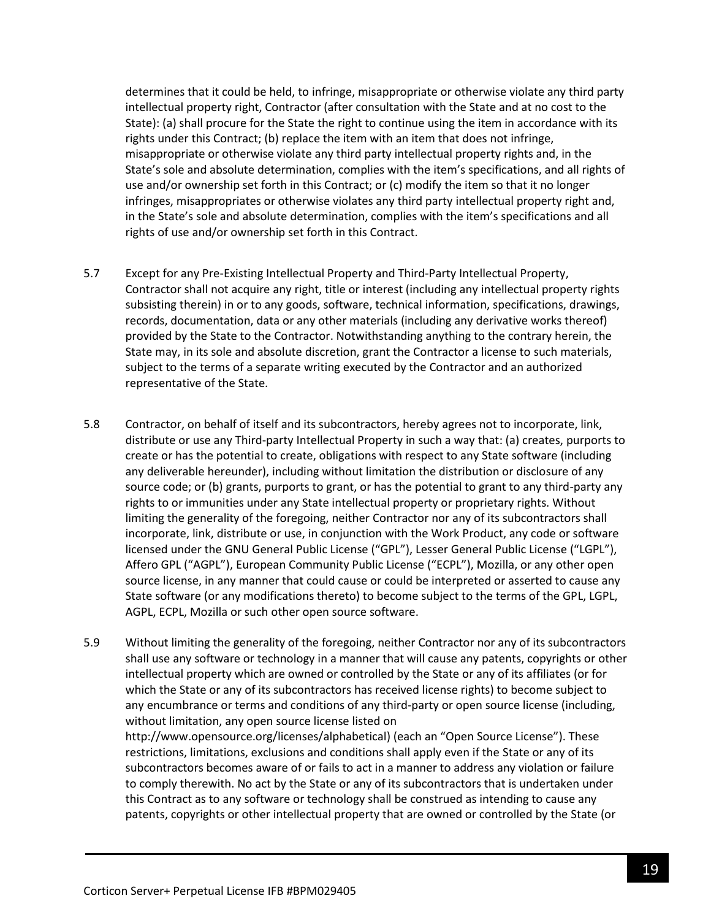determines that it could be held, to infringe, misappropriate or otherwise violate any third party intellectual property right, Contractor (after consultation with the State and at no cost to the State): (a) shall procure for the State the right to continue using the item in accordance with its rights under this Contract; (b) replace the item with an item that does not infringe, misappropriate or otherwise violate any third party intellectual property rights and, in the State's sole and absolute determination, complies with the item's specifications, and all rights of use and/or ownership set forth in this Contract; or (c) modify the item so that it no longer infringes, misappropriates or otherwise violates any third party intellectual property right and, in the State's sole and absolute determination, complies with the item's specifications and all rights of use and/or ownership set forth in this Contract.

- 5.7 Except for any Pre-Existing Intellectual Property and Third-Party Intellectual Property, Contractor shall not acquire any right, title or interest (including any intellectual property rights subsisting therein) in or to any goods, software, technical information, specifications, drawings, records, documentation, data or any other materials (including any derivative works thereof) provided by the State to the Contractor. Notwithstanding anything to the contrary herein, the State may, in its sole and absolute discretion, grant the Contractor a license to such materials, subject to the terms of a separate writing executed by the Contractor and an authorized representative of the State.
- 5.8 Contractor, on behalf of itself and its subcontractors, hereby agrees not to incorporate, link, distribute or use any Third-party Intellectual Property in such a way that: (a) creates, purports to create or has the potential to create, obligations with respect to any State software (including any deliverable hereunder), including without limitation the distribution or disclosure of any source code; or (b) grants, purports to grant, or has the potential to grant to any third-party any rights to or immunities under any State intellectual property or proprietary rights. Without limiting the generality of the foregoing, neither Contractor nor any of its subcontractors shall incorporate, link, distribute or use, in conjunction with the Work Product, any code or software licensed under the GNU General Public License ("GPL"), Lesser General Public License ("LGPL"), Affero GPL ("AGPL"), European Community Public License ("ECPL"), Mozilla, or any other open source license, in any manner that could cause or could be interpreted or asserted to cause any State software (or any modifications thereto) to become subject to the terms of the GPL, LGPL, AGPL, ECPL, Mozilla or such other open source software.
- 5.9 Without limiting the generality of the foregoing, neither Contractor nor any of its subcontractors shall use any software or technology in a manner that will cause any patents, copyrights or other intellectual property which are owned or controlled by the State or any of its affiliates (or for which the State or any of its subcontractors has received license rights) to become subject to any encumbrance or terms and conditions of any third-party or open source license (including, without limitation, any open source license listed on http://www.opensource.org/licenses/alphabetical) (each an "Open Source License"). These restrictions, limitations, exclusions and conditions shall apply even if the State or any of its subcontractors becomes aware of or fails to act in a manner to address any violation or failure to comply therewith. No act by the State or any of its subcontractors that is undertaken under this Contract as to any software or technology shall be construed as intending to cause any patents, copyrights or other intellectual property that are owned or controlled by the State (or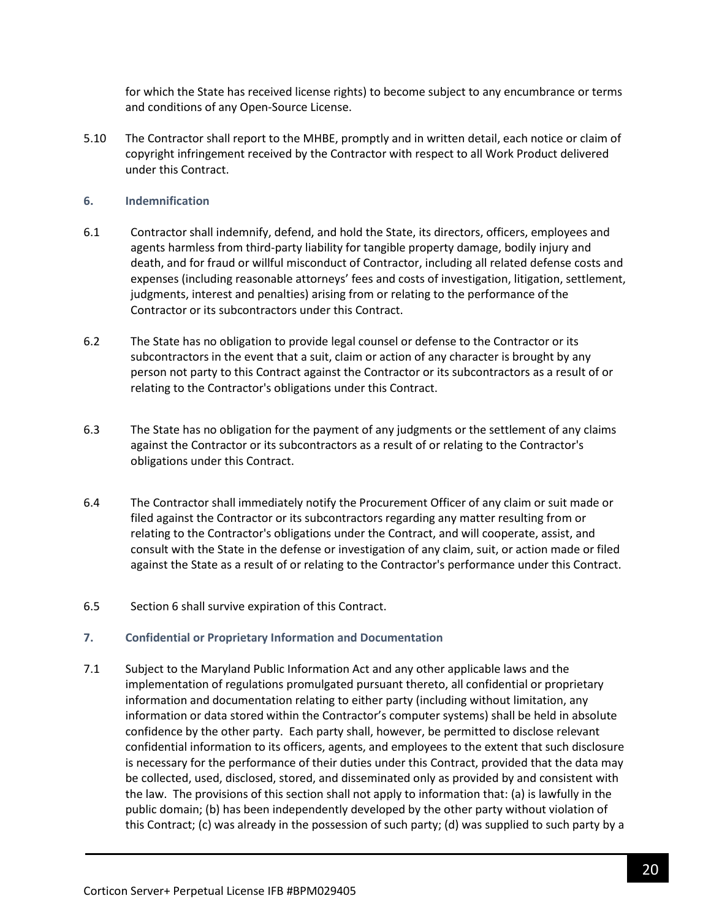for which the State has received license rights) to become subject to any encumbrance or terms and conditions of any Open-Source License.

5.10 The Contractor shall report to the MHBE, promptly and in written detail, each notice or claim of copyright infringement received by the Contractor with respect to all Work Product delivered under this Contract.

#### **6. Indemnification**

- 6.1 Contractor shall indemnify, defend, and hold the State, its directors, officers, employees and agents harmless from third-party liability for tangible property damage, bodily injury and death, and for fraud or willful misconduct of Contractor, including all related defense costs and expenses (including reasonable attorneys' fees and costs of investigation, litigation, settlement, judgments, interest and penalties) arising from or relating to the performance of the Contractor or its subcontractors under this Contract.
- 6.2 The State has no obligation to provide legal counsel or defense to the Contractor or its subcontractors in the event that a suit, claim or action of any character is brought by any person not party to this Contract against the Contractor or its subcontractors as a result of or relating to the Contractor's obligations under this Contract.
- 6.3 The State has no obligation for the payment of any judgments or the settlement of any claims against the Contractor or its subcontractors as a result of or relating to the Contractor's obligations under this Contract.
- 6.4 The Contractor shall immediately notify the Procurement Officer of any claim or suit made or filed against the Contractor or its subcontractors regarding any matter resulting from or relating to the Contractor's obligations under the Contract, and will cooperate, assist, and consult with the State in the defense or investigation of any claim, suit, or action made or filed against the State as a result of or relating to the Contractor's performance under this Contract.
- 6.5 Section 6 shall survive expiration of this Contract.

#### **7. Confidential or Proprietary Information and Documentation**

7.1 Subject to the Maryland Public Information Act and any other applicable laws and the implementation of regulations promulgated pursuant thereto, all confidential or proprietary information and documentation relating to either party (including without limitation, any information or data stored within the Contractor's computer systems) shall be held in absolute confidence by the other party. Each party shall, however, be permitted to disclose relevant confidential information to its officers, agents, and employees to the extent that such disclosure is necessary for the performance of their duties under this Contract, provided that the data may be collected, used, disclosed, stored, and disseminated only as provided by and consistent with the law. The provisions of this section shall not apply to information that: (a) is lawfully in the public domain; (b) has been independently developed by the other party without violation of this Contract; (c) was already in the possession of such party; (d) was supplied to such party by a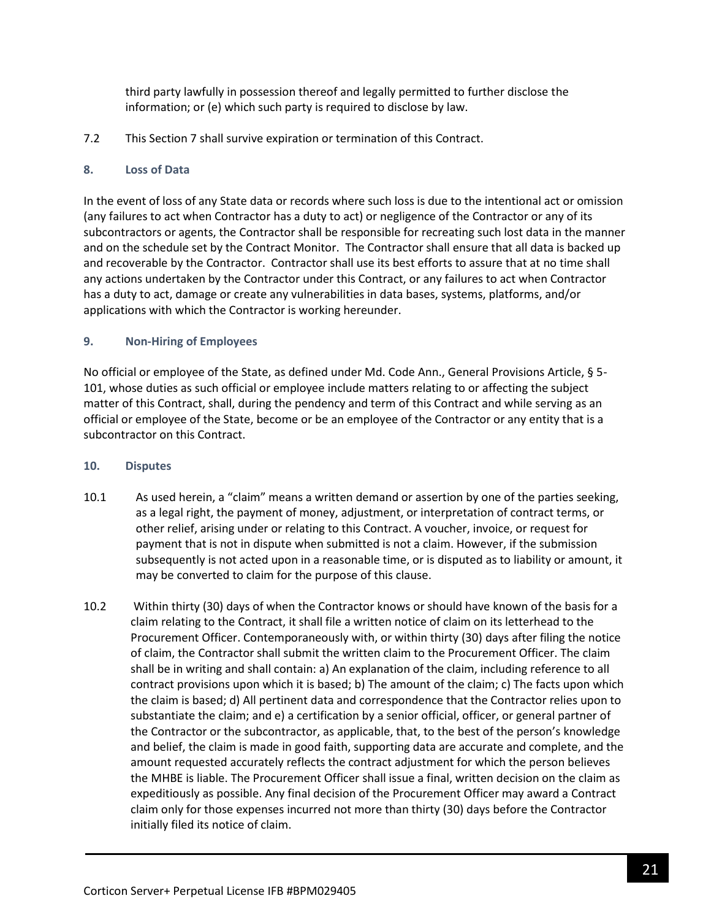third party lawfully in possession thereof and legally permitted to further disclose the information; or (e) which such party is required to disclose by law.

7.2 This Section 7 shall survive expiration or termination of this Contract.

### **8. Loss of Data**

In the event of loss of any State data or records where such loss is due to the intentional act or omission (any failures to act when Contractor has a duty to act) or negligence of the Contractor or any of its subcontractors or agents, the Contractor shall be responsible for recreating such lost data in the manner and on the schedule set by the Contract Monitor. The Contractor shall ensure that all data is backed up and recoverable by the Contractor. Contractor shall use its best efforts to assure that at no time shall any actions undertaken by the Contractor under this Contract, or any failures to act when Contractor has a duty to act, damage or create any vulnerabilities in data bases, systems, platforms, and/or applications with which the Contractor is working hereunder.

### **9. Non-Hiring of Employees**

No official or employee of the State, as defined under Md. Code Ann., General Provisions Article, § 5- 101, whose duties as such official or employee include matters relating to or affecting the subject matter of this Contract, shall, during the pendency and term of this Contract and while serving as an official or employee of the State, become or be an employee of the Contractor or any entity that is a subcontractor on this Contract.

#### **10. Disputes**

- 10.1 As used herein, a "claim" means a written demand or assertion by one of the parties seeking, as a legal right, the payment of money, adjustment, or interpretation of contract terms, or other relief, arising under or relating to this Contract. A voucher, invoice, or request for payment that is not in dispute when submitted is not a claim. However, if the submission subsequently is not acted upon in a reasonable time, or is disputed as to liability or amount, it may be converted to claim for the purpose of this clause.
- 10.2 Within thirty (30) days of when the Contractor knows or should have known of the basis for a claim relating to the Contract, it shall file a written notice of claim on its letterhead to the Procurement Officer. Contemporaneously with, or within thirty (30) days after filing the notice of claim, the Contractor shall submit the written claim to the Procurement Officer. The claim shall be in writing and shall contain: a) An explanation of the claim, including reference to all contract provisions upon which it is based; b) The amount of the claim; c) The facts upon which the claim is based; d) All pertinent data and correspondence that the Contractor relies upon to substantiate the claim; and e) a certification by a senior official, officer, or general partner of the Contractor or the subcontractor, as applicable, that, to the best of the person's knowledge and belief, the claim is made in good faith, supporting data are accurate and complete, and the amount requested accurately reflects the contract adjustment for which the person believes the MHBE is liable. The Procurement Officer shall issue a final, written decision on the claim as expeditiously as possible. Any final decision of the Procurement Officer may award a Contract claim only for those expenses incurred not more than thirty (30) days before the Contractor initially filed its notice of claim.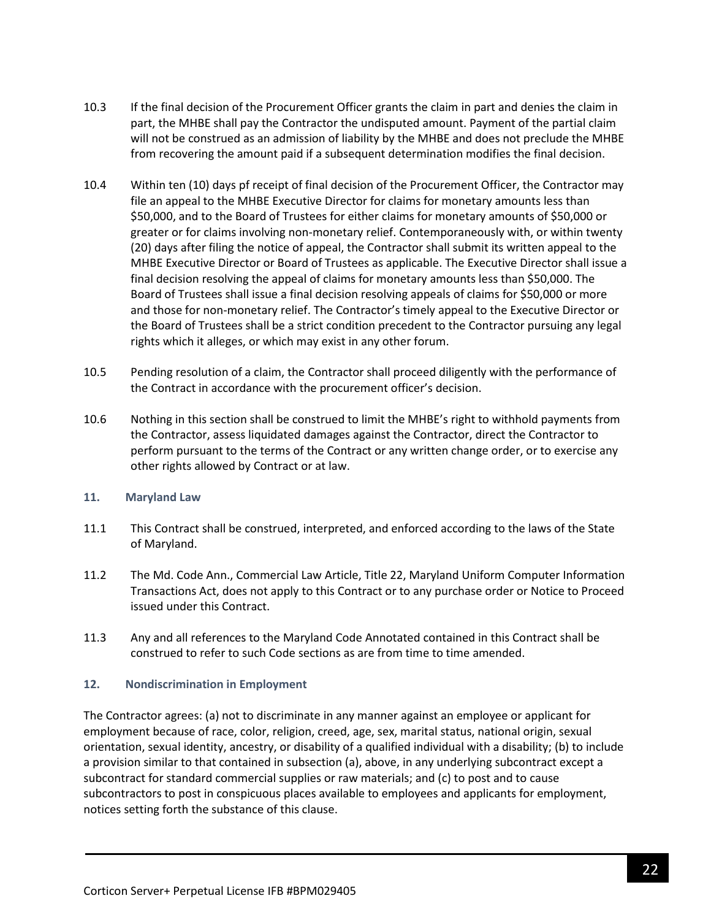- 10.3 If the final decision of the Procurement Officer grants the claim in part and denies the claim in part, the MHBE shall pay the Contractor the undisputed amount. Payment of the partial claim will not be construed as an admission of liability by the MHBE and does not preclude the MHBE from recovering the amount paid if a subsequent determination modifies the final decision.
- 10.4 Within ten (10) days pf receipt of final decision of the Procurement Officer, the Contractor may file an appeal to the MHBE Executive Director for claims for monetary amounts less than \$50,000, and to the Board of Trustees for either claims for monetary amounts of \$50,000 or greater or for claims involving non-monetary relief. Contemporaneously with, or within twenty (20) days after filing the notice of appeal, the Contractor shall submit its written appeal to the MHBE Executive Director or Board of Trustees as applicable. The Executive Director shall issue a final decision resolving the appeal of claims for monetary amounts less than \$50,000. The Board of Trustees shall issue a final decision resolving appeals of claims for \$50,000 or more and those for non-monetary relief. The Contractor's timely appeal to the Executive Director or the Board of Trustees shall be a strict condition precedent to the Contractor pursuing any legal rights which it alleges, or which may exist in any other forum.
- 10.5 Pending resolution of a claim, the Contractor shall proceed diligently with the performance of the Contract in accordance with the procurement officer's decision.
- 10.6 Nothing in this section shall be construed to limit the MHBE's right to withhold payments from the Contractor, assess liquidated damages against the Contractor, direct the Contractor to perform pursuant to the terms of the Contract or any written change order, or to exercise any other rights allowed by Contract or at law.

#### **11. Maryland Law**

- 11.1 This Contract shall be construed, interpreted, and enforced according to the laws of the State of Maryland.
- 11.2 The Md. Code Ann., Commercial Law Article, Title 22, Maryland Uniform Computer Information Transactions Act, does not apply to this Contract or to any purchase order or Notice to Proceed issued under this Contract.
- 11.3 Any and all references to the Maryland Code Annotated contained in this Contract shall be construed to refer to such Code sections as are from time to time amended.

#### **12. Nondiscrimination in Employment**

The Contractor agrees: (a) not to discriminate in any manner against an employee or applicant for employment because of race, color, religion, creed, age, sex, marital status, national origin, sexual orientation, sexual identity, ancestry, or disability of a qualified individual with a disability; (b) to include a provision similar to that contained in subsection (a), above, in any underlying subcontract except a subcontract for standard commercial supplies or raw materials; and (c) to post and to cause subcontractors to post in conspicuous places available to employees and applicants for employment, notices setting forth the substance of this clause.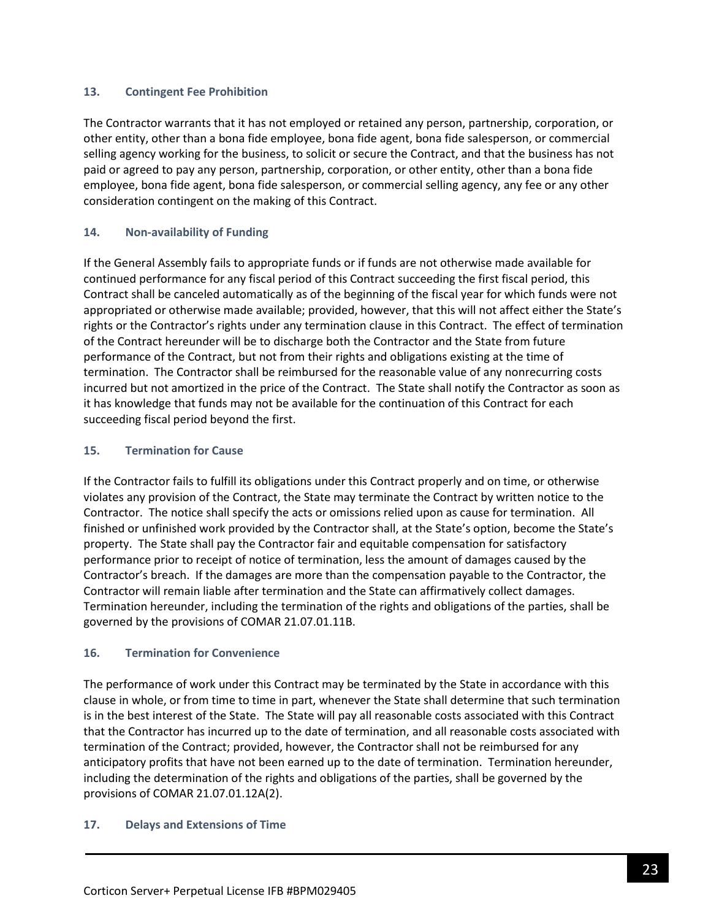### **13. Contingent Fee Prohibition**

The Contractor warrants that it has not employed or retained any person, partnership, corporation, or other entity, other than a bona fide employee, bona fide agent, bona fide salesperson, or commercial selling agency working for the business, to solicit or secure the Contract, and that the business has not paid or agreed to pay any person, partnership, corporation, or other entity, other than a bona fide employee, bona fide agent, bona fide salesperson, or commercial selling agency, any fee or any other consideration contingent on the making of this Contract.

### **14. Non-availability of Funding**

If the General Assembly fails to appropriate funds or if funds are not otherwise made available for continued performance for any fiscal period of this Contract succeeding the first fiscal period, this Contract shall be canceled automatically as of the beginning of the fiscal year for which funds were not appropriated or otherwise made available; provided, however, that this will not affect either the State's rights or the Contractor's rights under any termination clause in this Contract. The effect of termination of the Contract hereunder will be to discharge both the Contractor and the State from future performance of the Contract, but not from their rights and obligations existing at the time of termination. The Contractor shall be reimbursed for the reasonable value of any nonrecurring costs incurred but not amortized in the price of the Contract. The State shall notify the Contractor as soon as it has knowledge that funds may not be available for the continuation of this Contract for each succeeding fiscal period beyond the first.

### **15. Termination for Cause**

If the Contractor fails to fulfill its obligations under this Contract properly and on time, or otherwise violates any provision of the Contract, the State may terminate the Contract by written notice to the Contractor. The notice shall specify the acts or omissions relied upon as cause for termination. All finished or unfinished work provided by the Contractor shall, at the State's option, become the State's property. The State shall pay the Contractor fair and equitable compensation for satisfactory performance prior to receipt of notice of termination, less the amount of damages caused by the Contractor's breach. If the damages are more than the compensation payable to the Contractor, the Contractor will remain liable after termination and the State can affirmatively collect damages. Termination hereunder, including the termination of the rights and obligations of the parties, shall be governed by the provisions of COMAR 21.07.01.11B.

#### **16. Termination for Convenience**

The performance of work under this Contract may be terminated by the State in accordance with this clause in whole, or from time to time in part, whenever the State shall determine that such termination is in the best interest of the State. The State will pay all reasonable costs associated with this Contract that the Contractor has incurred up to the date of termination, and all reasonable costs associated with termination of the Contract; provided, however, the Contractor shall not be reimbursed for any anticipatory profits that have not been earned up to the date of termination. Termination hereunder, including the determination of the rights and obligations of the parties, shall be governed by the provisions of COMAR 21.07.01.12A(2).

#### **17. Delays and Extensions of Time**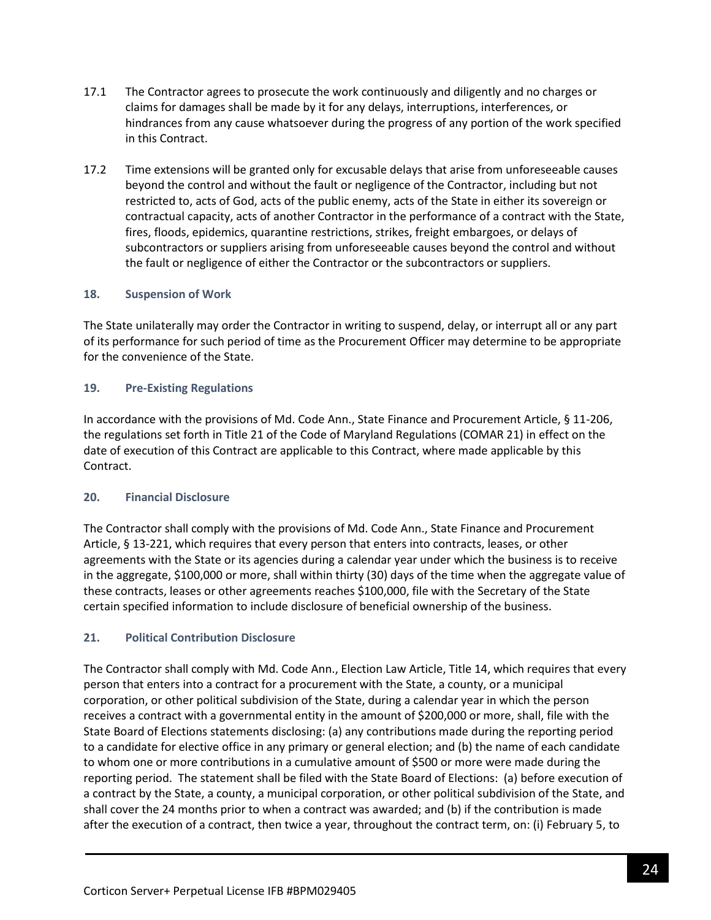- 17.1 The Contractor agrees to prosecute the work continuously and diligently and no charges or claims for damages shall be made by it for any delays, interruptions, interferences, or hindrances from any cause whatsoever during the progress of any portion of the work specified in this Contract.
- 17.2 Time extensions will be granted only for excusable delays that arise from unforeseeable causes beyond the control and without the fault or negligence of the Contractor, including but not restricted to, acts of God, acts of the public enemy, acts of the State in either its sovereign or contractual capacity, acts of another Contractor in the performance of a contract with the State, fires, floods, epidemics, quarantine restrictions, strikes, freight embargoes, or delays of subcontractors or suppliers arising from unforeseeable causes beyond the control and without the fault or negligence of either the Contractor or the subcontractors or suppliers.

### **18. Suspension of Work**

The State unilaterally may order the Contractor in writing to suspend, delay, or interrupt all or any part of its performance for such period of time as the Procurement Officer may determine to be appropriate for the convenience of the State.

### **19. Pre-Existing Regulations**

In accordance with the provisions of Md. Code Ann., State Finance and Procurement Article, § 11-206, the regulations set forth in Title 21 of the Code of Maryland Regulations (COMAR 21) in effect on the date of execution of this Contract are applicable to this Contract, where made applicable by this Contract.

#### **20. Financial Disclosure**

The Contractor shall comply with the provisions of Md. Code Ann., State Finance and Procurement Article, § 13-221, which requires that every person that enters into contracts, leases, or other agreements with the State or its agencies during a calendar year under which the business is to receive in the aggregate, \$100,000 or more, shall within thirty (30) days of the time when the aggregate value of these contracts, leases or other agreements reaches \$100,000, file with the Secretary of the State certain specified information to include disclosure of beneficial ownership of the business.

## **21. Political Contribution Disclosure**

The Contractor shall comply with Md. Code Ann., Election Law Article, Title 14, which requires that every person that enters into a contract for a procurement with the State, a county, or a municipal corporation, or other political subdivision of the State, during a calendar year in which the person receives a contract with a governmental entity in the amount of \$200,000 or more, shall, file with the State Board of Elections statements disclosing: (a) any contributions made during the reporting period to a candidate for elective office in any primary or general election; and (b) the name of each candidate to whom one or more contributions in a cumulative amount of \$500 or more were made during the reporting period. The statement shall be filed with the State Board of Elections: (a) before execution of a contract by the State, a county, a municipal corporation, or other political subdivision of the State, and shall cover the 24 months prior to when a contract was awarded; and (b) if the contribution is made after the execution of a contract, then twice a year, throughout the contract term, on: (i) February 5, to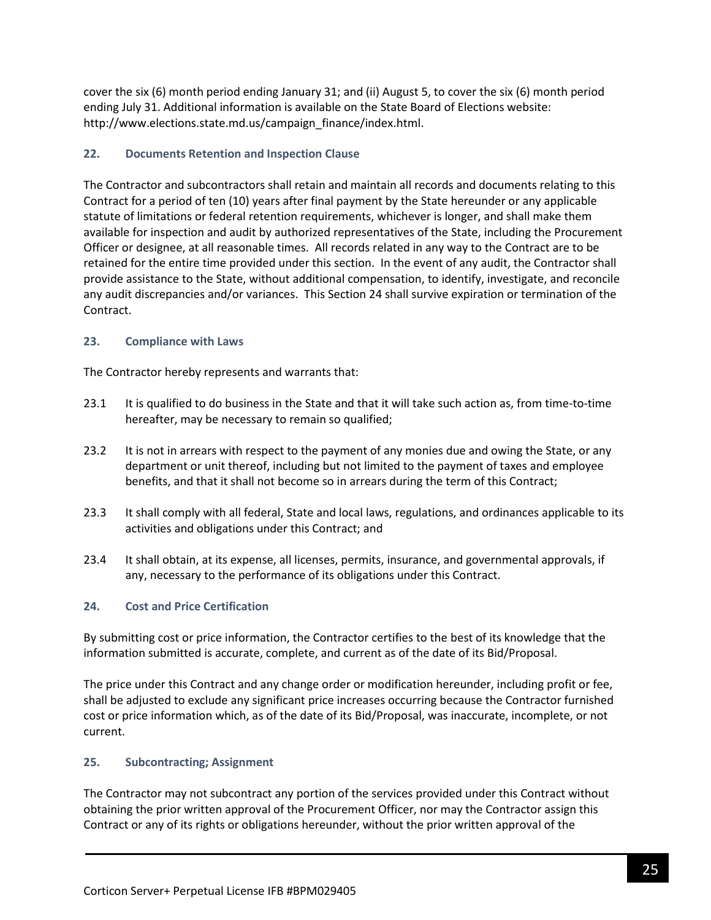cover the six (6) month period ending January 31; and (ii) August 5, to cover the six (6) month period ending July 31. Additional information is available on the State Board of Elections website: http://www.elections.state.md.us/campaign\_finance/index.html.

## **22. Documents Retention and Inspection Clause**

The Contractor and subcontractors shall retain and maintain all records and documents relating to this Contract for a period of ten (10) years after final payment by the State hereunder or any applicable statute of limitations or federal retention requirements, whichever is longer, and shall make them available for inspection and audit by authorized representatives of the State, including the Procurement Officer or designee, at all reasonable times. All records related in any way to the Contract are to be retained for the entire time provided under this section. In the event of any audit, the Contractor shall provide assistance to the State, without additional compensation, to identify, investigate, and reconcile any audit discrepancies and/or variances. This Section 24 shall survive expiration or termination of the Contract.

## **23. Compliance with Laws**

The Contractor hereby represents and warrants that:

- 23.1 It is qualified to do business in the State and that it will take such action as, from time-to-time hereafter, may be necessary to remain so qualified;
- 23.2 It is not in arrears with respect to the payment of any monies due and owing the State, or any department or unit thereof, including but not limited to the payment of taxes and employee benefits, and that it shall not become so in arrears during the term of this Contract;
- 23.3 It shall comply with all federal, State and local laws, regulations, and ordinances applicable to its activities and obligations under this Contract; and
- 23.4 It shall obtain, at its expense, all licenses, permits, insurance, and governmental approvals, if any, necessary to the performance of its obligations under this Contract.

## **24. Cost and Price Certification**

By submitting cost or price information, the Contractor certifies to the best of its knowledge that the information submitted is accurate, complete, and current as of the date of its Bid/Proposal.

The price under this Contract and any change order or modification hereunder, including profit or fee, shall be adjusted to exclude any significant price increases occurring because the Contractor furnished cost or price information which, as of the date of its Bid/Proposal, was inaccurate, incomplete, or not current.

## **25. Subcontracting; Assignment**

The Contractor may not subcontract any portion of the services provided under this Contract without obtaining the prior written approval of the Procurement Officer, nor may the Contractor assign this Contract or any of its rights or obligations hereunder, without the prior written approval of the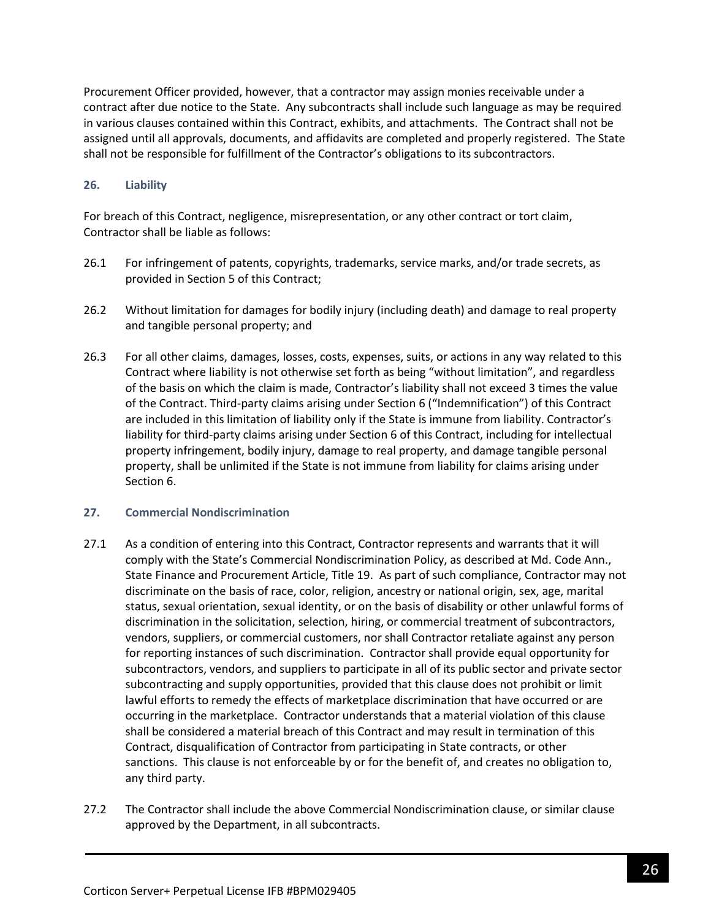Procurement Officer provided, however, that a contractor may assign monies receivable under a contract after due notice to the State. Any subcontracts shall include such language as may be required in various clauses contained within this Contract, exhibits, and attachments. The Contract shall not be assigned until all approvals, documents, and affidavits are completed and properly registered. The State shall not be responsible for fulfillment of the Contractor's obligations to its subcontractors.

### **26. Liability**

For breach of this Contract, negligence, misrepresentation, or any other contract or tort claim, Contractor shall be liable as follows:

- 26.1 For infringement of patents, copyrights, trademarks, service marks, and/or trade secrets, as provided in Section 5 of this Contract;
- 26.2 Without limitation for damages for bodily injury (including death) and damage to real property and tangible personal property; and
- 26.3 For all other claims, damages, losses, costs, expenses, suits, or actions in any way related to this Contract where liability is not otherwise set forth as being "without limitation", and regardless of the basis on which the claim is made, Contractor's liability shall not exceed 3 times the value of the Contract. Third-party claims arising under Section 6 ("Indemnification") of this Contract are included in this limitation of liability only if the State is immune from liability. Contractor's liability for third-party claims arising under Section 6 of this Contract, including for intellectual property infringement, bodily injury, damage to real property, and damage tangible personal property, shall be unlimited if the State is not immune from liability for claims arising under Section 6.

#### **27. Commercial Nondiscrimination**

- 27.1 As a condition of entering into this Contract, Contractor represents and warrants that it will comply with the State's Commercial Nondiscrimination Policy, as described at Md. Code Ann., State Finance and Procurement Article, Title 19. As part of such compliance, Contractor may not discriminate on the basis of race, color, religion, ancestry or national origin, sex, age, marital status, sexual orientation, sexual identity, or on the basis of disability or other unlawful forms of discrimination in the solicitation, selection, hiring, or commercial treatment of subcontractors, vendors, suppliers, or commercial customers, nor shall Contractor retaliate against any person for reporting instances of such discrimination. Contractor shall provide equal opportunity for subcontractors, vendors, and suppliers to participate in all of its public sector and private sector subcontracting and supply opportunities, provided that this clause does not prohibit or limit lawful efforts to remedy the effects of marketplace discrimination that have occurred or are occurring in the marketplace. Contractor understands that a material violation of this clause shall be considered a material breach of this Contract and may result in termination of this Contract, disqualification of Contractor from participating in State contracts, or other sanctions. This clause is not enforceable by or for the benefit of, and creates no obligation to, any third party.
- 27.2 The Contractor shall include the above Commercial Nondiscrimination clause, or similar clause approved by the Department, in all subcontracts.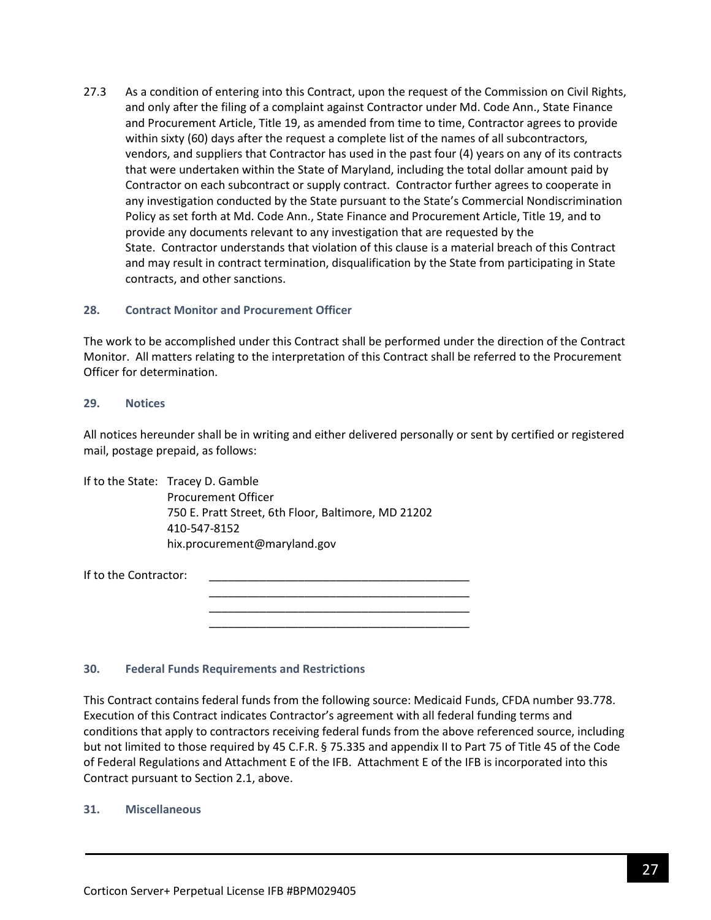27.3 As a condition of entering into this Contract, upon the request of the Commission on Civil Rights, and only after the filing of a complaint against Contractor under Md. Code Ann., State Finance and Procurement Article, Title 19, as amended from time to time, Contractor agrees to provide within sixty (60) days after the request a complete list of the names of all subcontractors, vendors, and suppliers that Contractor has used in the past four (4) years on any of its contracts that were undertaken within the State of Maryland, including the total dollar amount paid by Contractor on each subcontract or supply contract. Contractor further agrees to cooperate in any investigation conducted by the State pursuant to the State's Commercial Nondiscrimination Policy as set forth at Md. Code Ann., State Finance and Procurement Article, Title 19, and to provide any documents relevant to any investigation that are requested by the State. Contractor understands that violation of this clause is a material breach of this Contract and may result in contract termination, disqualification by the State from participating in State contracts, and other sanctions.

#### **28. Contract Monitor and Procurement Officer**

The work to be accomplished under this Contract shall be performed under the direction of the Contract Monitor. All matters relating to the interpretation of this Contract shall be referred to the Procurement Officer for determination.

#### **29. Notices**

All notices hereunder shall be in writing and either delivered personally or sent by certified or registered mail, postage prepaid, as follows:

> \_\_\_\_\_\_\_\_\_\_\_\_\_\_\_\_\_\_\_\_\_\_\_\_\_\_\_\_\_\_\_\_\_\_\_\_\_\_\_\_\_ \_\_\_\_\_\_\_\_\_\_\_\_\_\_\_\_\_\_\_\_\_\_\_\_\_\_\_\_\_\_\_\_\_\_\_\_\_\_\_\_\_ \_\_\_\_\_\_\_\_\_\_\_\_\_\_\_\_\_\_\_\_\_\_\_\_\_\_\_\_\_\_\_\_\_\_\_\_\_\_\_\_\_

If to the State: Tracey D. Gamble Procurement Officer 750 E. Pratt Street, 6th Floor, Baltimore, MD 21202 410-547-8152 hix.procurement@maryland.gov

If to the Contractor:

#### **30. Federal Funds Requirements and Restrictions**

This Contract contains federal funds from the following source: Medicaid Funds, CFDA number 93.778. Execution of this Contract indicates Contractor's agreement with all federal funding terms and conditions that apply to contractors receiving federal funds from the above referenced source, including but not limited to those required by 45 C.F.R. § 75.335 and appendix II to Part 75 of Title 45 of the Code of Federal Regulations and Attachment E of the IFB. Attachment E of the IFB is incorporated into this Contract pursuant to Section 2.1, above.

#### **31. Miscellaneous**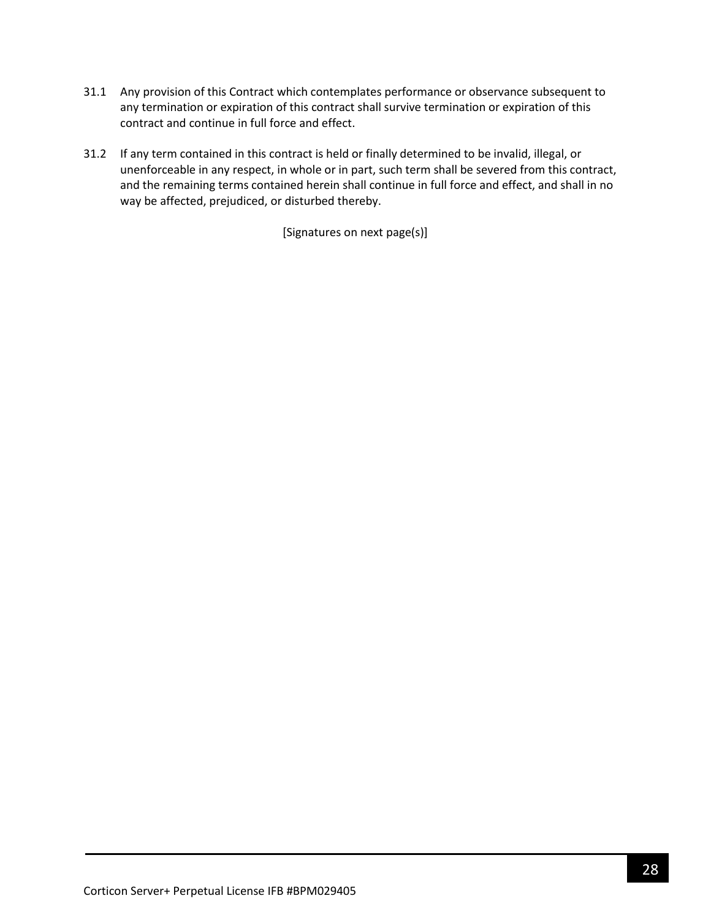- 31.1 Any provision of this Contract which contemplates performance or observance subsequent to any termination or expiration of this contract shall survive termination or expiration of this contract and continue in full force and effect.
- 31.2 If any term contained in this contract is held or finally determined to be invalid, illegal, or unenforceable in any respect, in whole or in part, such term shall be severed from this contract, and the remaining terms contained herein shall continue in full force and effect, and shall in no way be affected, prejudiced, or disturbed thereby.

[Signatures on next page(s)]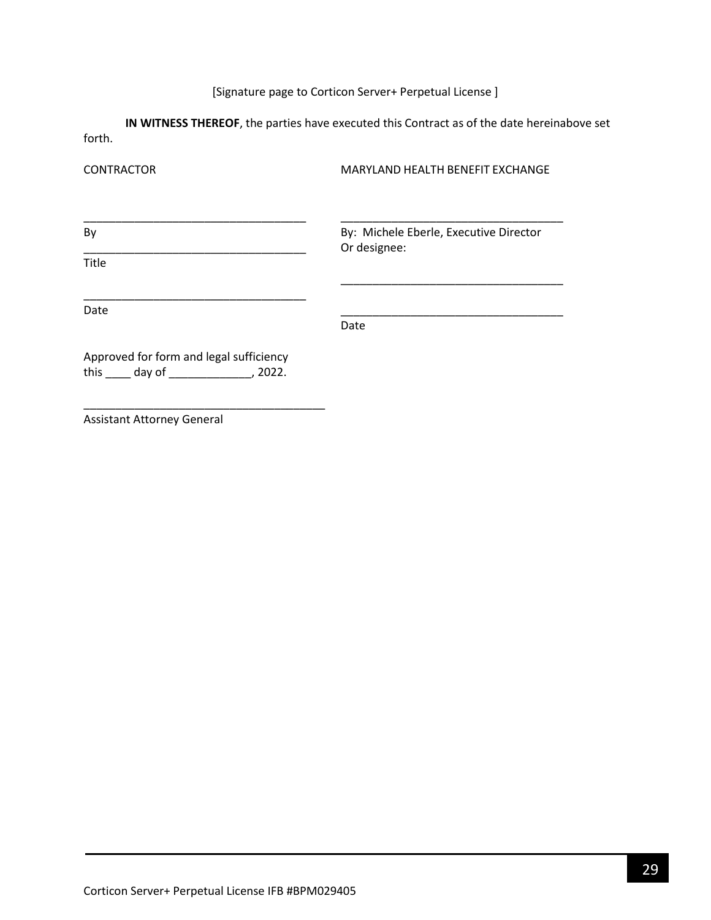# [Signature page to Corticon Server+ Perpetual License ]

**IN WITNESS THEREOF**, the parties have executed this Contract as of the date hereinabove set forth.

| <b>CONTRACTOR</b>                                                                              | MARYLAND HEALTH BENEFIT EXCHANGE       |  |  |
|------------------------------------------------------------------------------------------------|----------------------------------------|--|--|
| By                                                                                             | By: Michele Eberle, Executive Director |  |  |
| <b>Title</b>                                                                                   | Or designee:                           |  |  |
| Date                                                                                           | Date                                   |  |  |
| Approved for form and legal sufficiency<br>this $\qquad \qquad$ day of $\qquad \qquad$ , 2022. |                                        |  |  |

Assistant Attorney General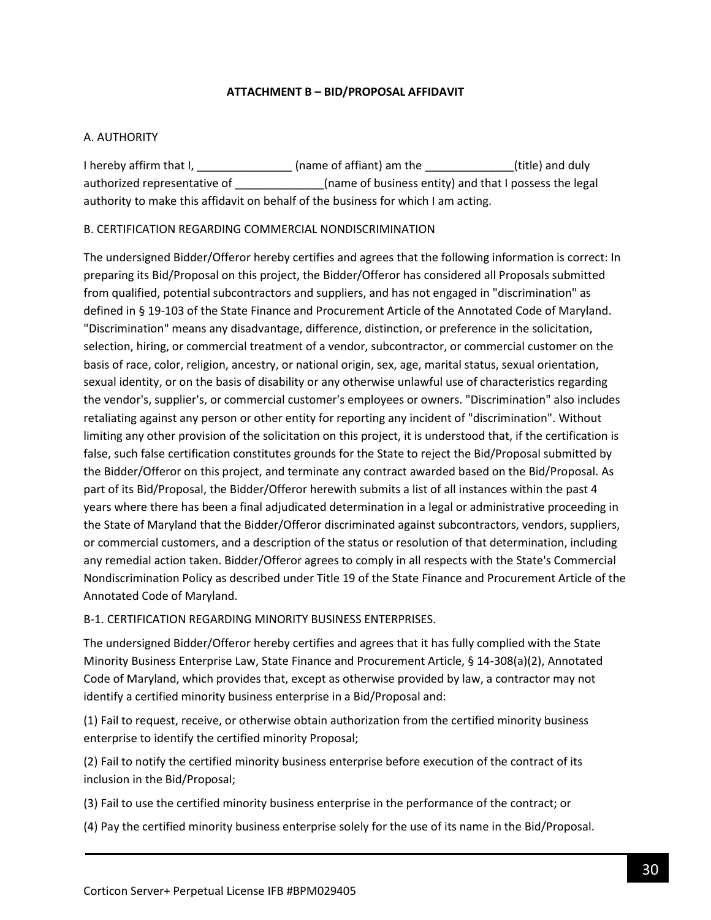### **ATTACHMENT B – BID/PROPOSAL AFFIDAVIT**

### <span id="page-29-0"></span>A. AUTHORITY

I hereby affirm that I, \_\_\_\_\_\_\_\_\_\_\_\_\_\_\_\_\_\_\_(name of affiant) am the \_\_\_\_\_\_\_\_\_\_\_\_\_\_\_\_(title) and duly authorized representative of \_\_\_\_\_\_\_\_\_\_\_\_\_(name of business entity) and that I possess the legal authority to make this affidavit on behalf of the business for which I am acting.

### B. CERTIFICATION REGARDING COMMERCIAL NONDISCRIMINATION

The undersigned Bidder/Offeror hereby certifies and agrees that the following information is correct: In preparing its Bid/Proposal on this project, the Bidder/Offeror has considered all Proposals submitted from qualified, potential subcontractors and suppliers, and has not engaged in "discrimination" as defined in § 19-103 of the State Finance and Procurement Article of the Annotated Code of Maryland. "Discrimination" means any disadvantage, difference, distinction, or preference in the solicitation, selection, hiring, or commercial treatment of a vendor, subcontractor, or commercial customer on the basis of race, color, religion, ancestry, or national origin, sex, age, marital status, sexual orientation, sexual identity, or on the basis of disability or any otherwise unlawful use of characteristics regarding the vendor's, supplier's, or commercial customer's employees or owners. "Discrimination" also includes retaliating against any person or other entity for reporting any incident of "discrimination". Without limiting any other provision of the solicitation on this project, it is understood that, if the certification is false, such false certification constitutes grounds for the State to reject the Bid/Proposal submitted by the Bidder/Offeror on this project, and terminate any contract awarded based on the Bid/Proposal. As part of its Bid/Proposal, the Bidder/Offeror herewith submits a list of all instances within the past 4 years where there has been a final adjudicated determination in a legal or administrative proceeding in the State of Maryland that the Bidder/Offeror discriminated against subcontractors, vendors, suppliers, or commercial customers, and a description of the status or resolution of that determination, including any remedial action taken. Bidder/Offeror agrees to comply in all respects with the State's Commercial Nondiscrimination Policy as described under Title 19 of the State Finance and Procurement Article of the Annotated Code of Maryland.

#### B-1. CERTIFICATION REGARDING MINORITY BUSINESS ENTERPRISES.

The undersigned Bidder/Offeror hereby certifies and agrees that it has fully complied with the State Minority Business Enterprise Law, State Finance and Procurement Article, § 14-308(a)(2), Annotated Code of Maryland, which provides that, except as otherwise provided by law, a contractor may not identify a certified minority business enterprise in a Bid/Proposal and:

(1) Fail to request, receive, or otherwise obtain authorization from the certified minority business enterprise to identify the certified minority Proposal;

(2) Fail to notify the certified minority business enterprise before execution of the contract of its inclusion in the Bid/Proposal;

(3) Fail to use the certified minority business enterprise in the performance of the contract; or

(4) Pay the certified minority business enterprise solely for the use of its name in the Bid/Proposal.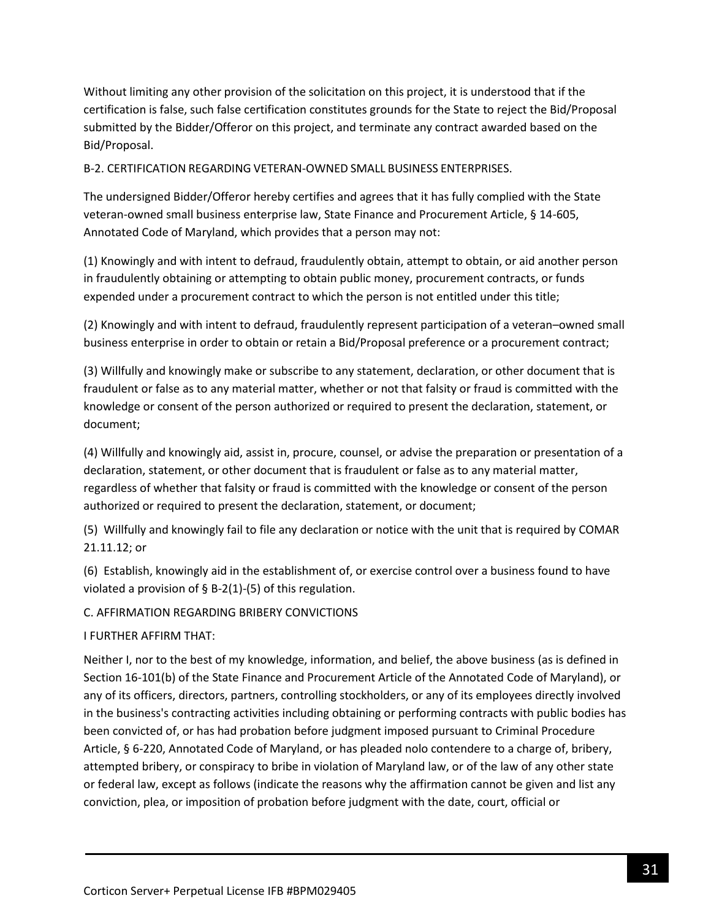Without limiting any other provision of the solicitation on this project, it is understood that if the certification is false, such false certification constitutes grounds for the State to reject the Bid/Proposal submitted by the Bidder/Offeror on this project, and terminate any contract awarded based on the Bid/Proposal.

B-2. CERTIFICATION REGARDING VETERAN-OWNED SMALL BUSINESS ENTERPRISES.

The undersigned Bidder/Offeror hereby certifies and agrees that it has fully complied with the State veteran-owned small business enterprise law, State Finance and Procurement Article, § 14-605, Annotated Code of Maryland, which provides that a person may not:

(1) Knowingly and with intent to defraud, fraudulently obtain, attempt to obtain, or aid another person in fraudulently obtaining or attempting to obtain public money, procurement contracts, or funds expended under a procurement contract to which the person is not entitled under this title;

(2) Knowingly and with intent to defraud, fraudulently represent participation of a veteran–owned small business enterprise in order to obtain or retain a Bid/Proposal preference or a procurement contract;

(3) Willfully and knowingly make or subscribe to any statement, declaration, or other document that is fraudulent or false as to any material matter, whether or not that falsity or fraud is committed with the knowledge or consent of the person authorized or required to present the declaration, statement, or document;

(4) Willfully and knowingly aid, assist in, procure, counsel, or advise the preparation or presentation of a declaration, statement, or other document that is fraudulent or false as to any material matter, regardless of whether that falsity or fraud is committed with the knowledge or consent of the person authorized or required to present the declaration, statement, or document;

(5) Willfully and knowingly fail to file any declaration or notice with the unit that is required by COMAR 21.11.12; or

(6) Establish, knowingly aid in the establishment of, or exercise control over a business found to have violated a provision of  $\S$  B-2(1)-(5) of this regulation.

C. AFFIRMATION REGARDING BRIBERY CONVICTIONS

I FURTHER AFFIRM THAT:

Neither I, nor to the best of my knowledge, information, and belief, the above business (as is defined in Section 16-101(b) of the State Finance and Procurement Article of the Annotated Code of Maryland), or any of its officers, directors, partners, controlling stockholders, or any of its employees directly involved in the business's contracting activities including obtaining or performing contracts with public bodies has been convicted of, or has had probation before judgment imposed pursuant to Criminal Procedure Article, § 6-220, Annotated Code of Maryland, or has pleaded nolo contendere to a charge of, bribery, attempted bribery, or conspiracy to bribe in violation of Maryland law, or of the law of any other state or federal law, except as follows (indicate the reasons why the affirmation cannot be given and list any conviction, plea, or imposition of probation before judgment with the date, court, official or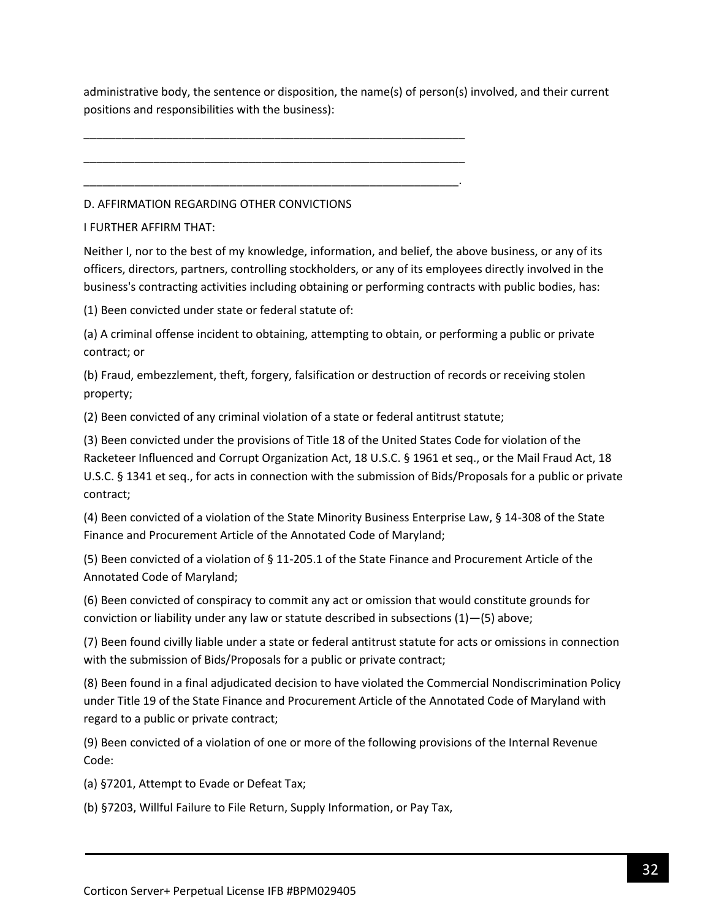administrative body, the sentence or disposition, the name(s) of person(s) involved, and their current positions and responsibilities with the business):

D. AFFIRMATION REGARDING OTHER CONVICTIONS

\_\_\_\_\_\_\_\_\_\_\_\_\_\_\_\_\_\_\_\_\_\_\_\_\_\_\_\_\_\_\_\_\_\_\_\_\_\_\_\_\_\_\_\_\_\_\_\_\_\_\_\_\_\_\_\_\_\_\_\_

\_\_\_\_\_\_\_\_\_\_\_\_\_\_\_\_\_\_\_\_\_\_\_\_\_\_\_\_\_\_\_\_\_\_\_\_\_\_\_\_\_\_\_\_\_\_\_\_\_\_\_\_\_\_\_\_\_\_\_\_

\_\_\_\_\_\_\_\_\_\_\_\_\_\_\_\_\_\_\_\_\_\_\_\_\_\_\_\_\_\_\_\_\_\_\_\_\_\_\_\_\_\_\_\_\_\_\_\_\_\_\_\_\_\_\_\_\_\_\_.

I FURTHER AFFIRM THAT:

Neither I, nor to the best of my knowledge, information, and belief, the above business, or any of its officers, directors, partners, controlling stockholders, or any of its employees directly involved in the business's contracting activities including obtaining or performing contracts with public bodies, has:

(1) Been convicted under state or federal statute of:

(a) A criminal offense incident to obtaining, attempting to obtain, or performing a public or private contract; or

(b) Fraud, embezzlement, theft, forgery, falsification or destruction of records or receiving stolen property;

(2) Been convicted of any criminal violation of a state or federal antitrust statute;

(3) Been convicted under the provisions of Title 18 of the United States Code for violation of the Racketeer Influenced and Corrupt Organization Act, 18 U.S.C. § 1961 et seq., or the Mail Fraud Act, 18 U.S.C. § 1341 et seq., for acts in connection with the submission of Bids/Proposals for a public or private contract;

(4) Been convicted of a violation of the State Minority Business Enterprise Law, § 14-308 of the State Finance and Procurement Article of the Annotated Code of Maryland;

(5) Been convicted of a violation of § 11-205.1 of the State Finance and Procurement Article of the Annotated Code of Maryland;

(6) Been convicted of conspiracy to commit any act or omission that would constitute grounds for conviction or liability under any law or statute described in subsections (1)—(5) above;

(7) Been found civilly liable under a state or federal antitrust statute for acts or omissions in connection with the submission of Bids/Proposals for a public or private contract;

(8) Been found in a final adjudicated decision to have violated the Commercial Nondiscrimination Policy under Title 19 of the State Finance and Procurement Article of the Annotated Code of Maryland with regard to a public or private contract;

(9) Been convicted of a violation of one or more of the following provisions of the Internal Revenue Code:

(a) §7201, Attempt to Evade or Defeat Tax;

(b) §7203, Willful Failure to File Return, Supply Information, or Pay Tax,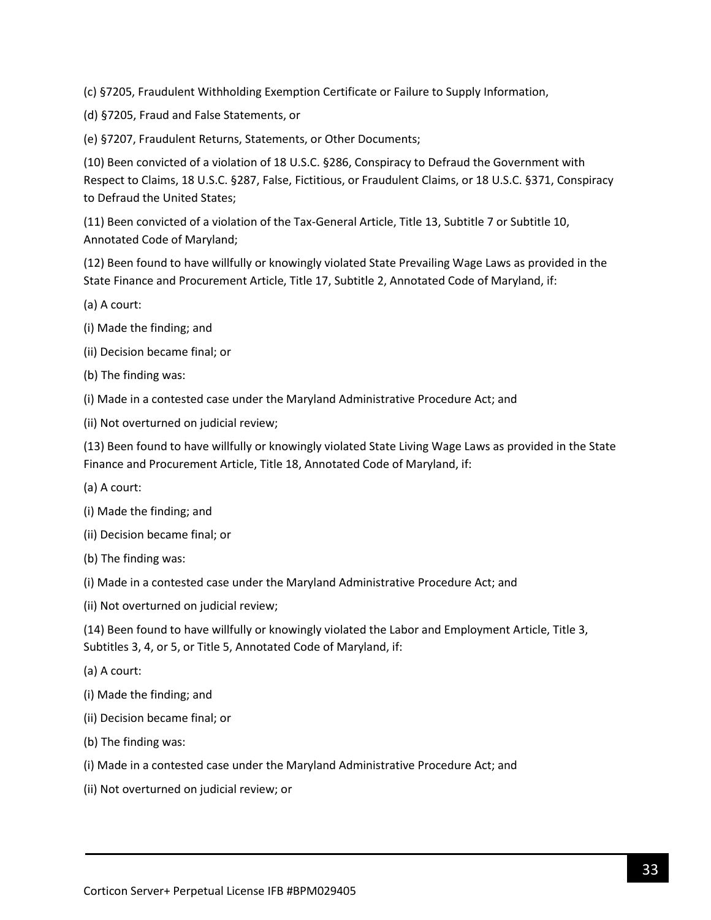(c) §7205, Fraudulent Withholding Exemption Certificate or Failure to Supply Information,

(d) §7205, Fraud and False Statements, or

(e) §7207, Fraudulent Returns, Statements, or Other Documents;

(10) Been convicted of a violation of 18 U.S.C. §286, Conspiracy to Defraud the Government with Respect to Claims, 18 U.S.C. §287, False, Fictitious, or Fraudulent Claims, or 18 U.S.C. §371, Conspiracy to Defraud the United States;

(11) Been convicted of a violation of the Tax-General Article, Title 13, Subtitle 7 or Subtitle 10, Annotated Code of Maryland;

(12) Been found to have willfully or knowingly violated State Prevailing Wage Laws as provided in the State Finance and Procurement Article, Title 17, Subtitle 2, Annotated Code of Maryland, if:

- (a) A court:
- (i) Made the finding; and
- (ii) Decision became final; or
- (b) The finding was:
- (i) Made in a contested case under the Maryland Administrative Procedure Act; and
- (ii) Not overturned on judicial review;

(13) Been found to have willfully or knowingly violated State Living Wage Laws as provided in the State Finance and Procurement Article, Title 18, Annotated Code of Maryland, if:

- (a) A court:
- (i) Made the finding; and
- (ii) Decision became final; or
- (b) The finding was:
- (i) Made in a contested case under the Maryland Administrative Procedure Act; and
- (ii) Not overturned on judicial review;

(14) Been found to have willfully or knowingly violated the Labor and Employment Article, Title 3, Subtitles 3, 4, or 5, or Title 5, Annotated Code of Maryland, if:

- (a) A court:
- (i) Made the finding; and
- (ii) Decision became final; or
- (b) The finding was:
- (i) Made in a contested case under the Maryland Administrative Procedure Act; and
- (ii) Not overturned on judicial review; or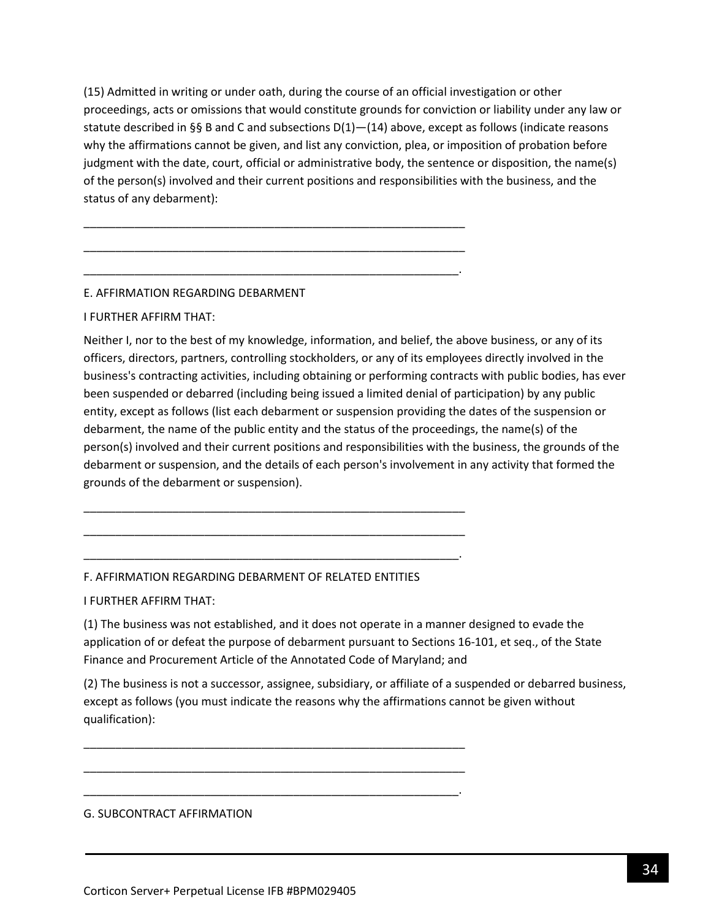(15) Admitted in writing or under oath, during the course of an official investigation or other proceedings, acts or omissions that would constitute grounds for conviction or liability under any law or statute described in §§ B and C and subsections  $D(1)$ — $(14)$  above, except as follows (indicate reasons why the affirmations cannot be given, and list any conviction, plea, or imposition of probation before judgment with the date, court, official or administrative body, the sentence or disposition, the name(s) of the person(s) involved and their current positions and responsibilities with the business, and the status of any debarment):

\_\_\_\_\_\_\_\_\_\_\_\_\_\_\_\_\_\_\_\_\_\_\_\_\_\_\_\_\_\_\_\_\_\_\_\_\_\_\_\_\_\_\_\_\_\_\_\_\_\_\_\_\_\_\_\_\_\_\_\_

\_\_\_\_\_\_\_\_\_\_\_\_\_\_\_\_\_\_\_\_\_\_\_\_\_\_\_\_\_\_\_\_\_\_\_\_\_\_\_\_\_\_\_\_\_\_\_\_\_\_\_\_\_\_\_\_\_\_\_\_

\_\_\_\_\_\_\_\_\_\_\_\_\_\_\_\_\_\_\_\_\_\_\_\_\_\_\_\_\_\_\_\_\_\_\_\_\_\_\_\_\_\_\_\_\_\_\_\_\_\_\_\_\_\_\_\_\_\_\_.

## E. AFFIRMATION REGARDING DEBARMENT

#### I FURTHER AFFIRM THAT:

Neither I, nor to the best of my knowledge, information, and belief, the above business, or any of its officers, directors, partners, controlling stockholders, or any of its employees directly involved in the business's contracting activities, including obtaining or performing contracts with public bodies, has ever been suspended or debarred (including being issued a limited denial of participation) by any public entity, except as follows (list each debarment or suspension providing the dates of the suspension or debarment, the name of the public entity and the status of the proceedings, the name(s) of the person(s) involved and their current positions and responsibilities with the business, the grounds of the debarment or suspension, and the details of each person's involvement in any activity that formed the grounds of the debarment or suspension).

#### F. AFFIRMATION REGARDING DEBARMENT OF RELATED ENTITIES

\_\_\_\_\_\_\_\_\_\_\_\_\_\_\_\_\_\_\_\_\_\_\_\_\_\_\_\_\_\_\_\_\_\_\_\_\_\_\_\_\_\_\_\_\_\_\_\_\_\_\_\_\_\_\_\_\_\_\_\_

\_\_\_\_\_\_\_\_\_\_\_\_\_\_\_\_\_\_\_\_\_\_\_\_\_\_\_\_\_\_\_\_\_\_\_\_\_\_\_\_\_\_\_\_\_\_\_\_\_\_\_\_\_\_\_\_\_\_\_\_

\_\_\_\_\_\_\_\_\_\_\_\_\_\_\_\_\_\_\_\_\_\_\_\_\_\_\_\_\_\_\_\_\_\_\_\_\_\_\_\_\_\_\_\_\_\_\_\_\_\_\_\_\_\_\_\_\_\_\_.

\_\_\_\_\_\_\_\_\_\_\_\_\_\_\_\_\_\_\_\_\_\_\_\_\_\_\_\_\_\_\_\_\_\_\_\_\_\_\_\_\_\_\_\_\_\_\_\_\_\_\_\_\_\_\_\_\_\_\_\_

\_\_\_\_\_\_\_\_\_\_\_\_\_\_\_\_\_\_\_\_\_\_\_\_\_\_\_\_\_\_\_\_\_\_\_\_\_\_\_\_\_\_\_\_\_\_\_\_\_\_\_\_\_\_\_\_\_\_\_\_

\_\_\_\_\_\_\_\_\_\_\_\_\_\_\_\_\_\_\_\_\_\_\_\_\_\_\_\_\_\_\_\_\_\_\_\_\_\_\_\_\_\_\_\_\_\_\_\_\_\_\_\_\_\_\_\_\_\_\_.

I FURTHER AFFIRM THAT:

(1) The business was not established, and it does not operate in a manner designed to evade the application of or defeat the purpose of debarment pursuant to Sections 16-101, et seq., of the State Finance and Procurement Article of the Annotated Code of Maryland; and

(2) The business is not a successor, assignee, subsidiary, or affiliate of a suspended or debarred business, except as follows (you must indicate the reasons why the affirmations cannot be given without qualification):

#### G. SUBCONTRACT AFFIRMATION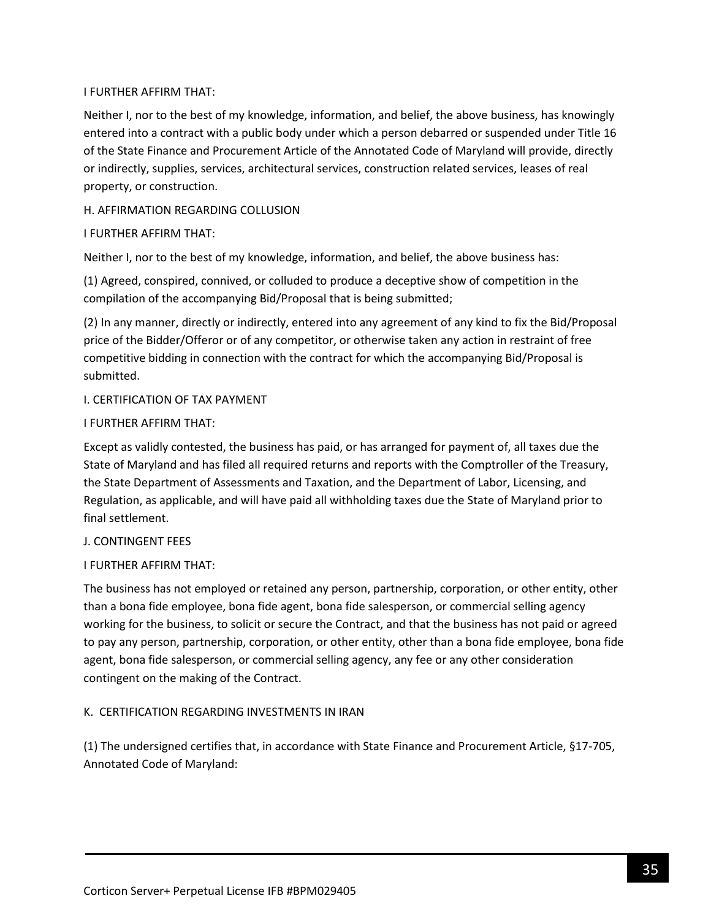### I FURTHER AFFIRM THAT:

Neither I, nor to the best of my knowledge, information, and belief, the above business, has knowingly entered into a contract with a public body under which a person debarred or suspended under Title 16 of the State Finance and Procurement Article of the Annotated Code of Maryland will provide, directly or indirectly, supplies, services, architectural services, construction related services, leases of real property, or construction.

### H. AFFIRMATION REGARDING COLLUSION

### I FURTHER AFFIRM THAT:

Neither I, nor to the best of my knowledge, information, and belief, the above business has:

(1) Agreed, conspired, connived, or colluded to produce a deceptive show of competition in the compilation of the accompanying Bid/Proposal that is being submitted;

(2) In any manner, directly or indirectly, entered into any agreement of any kind to fix the Bid/Proposal price of the Bidder/Offeror or of any competitor, or otherwise taken any action in restraint of free competitive bidding in connection with the contract for which the accompanying Bid/Proposal is submitted.

### I. CERTIFICATION OF TAX PAYMENT

#### I FURTHER AFFIRM THAT:

Except as validly contested, the business has paid, or has arranged for payment of, all taxes due the State of Maryland and has filed all required returns and reports with the Comptroller of the Treasury, the State Department of Assessments and Taxation, and the Department of Labor, Licensing, and Regulation, as applicable, and will have paid all withholding taxes due the State of Maryland prior to final settlement.

#### J. CONTINGENT FEES

## I FURTHER AFFIRM THAT:

The business has not employed or retained any person, partnership, corporation, or other entity, other than a bona fide employee, bona fide agent, bona fide salesperson, or commercial selling agency working for the business, to solicit or secure the Contract, and that the business has not paid or agreed to pay any person, partnership, corporation, or other entity, other than a bona fide employee, bona fide agent, bona fide salesperson, or commercial selling agency, any fee or any other consideration contingent on the making of the Contract.

## K. CERTIFICATION REGARDING INVESTMENTS IN IRAN

(1) The undersigned certifies that, in accordance with State Finance and Procurement Article, §17-705, Annotated Code of Maryland: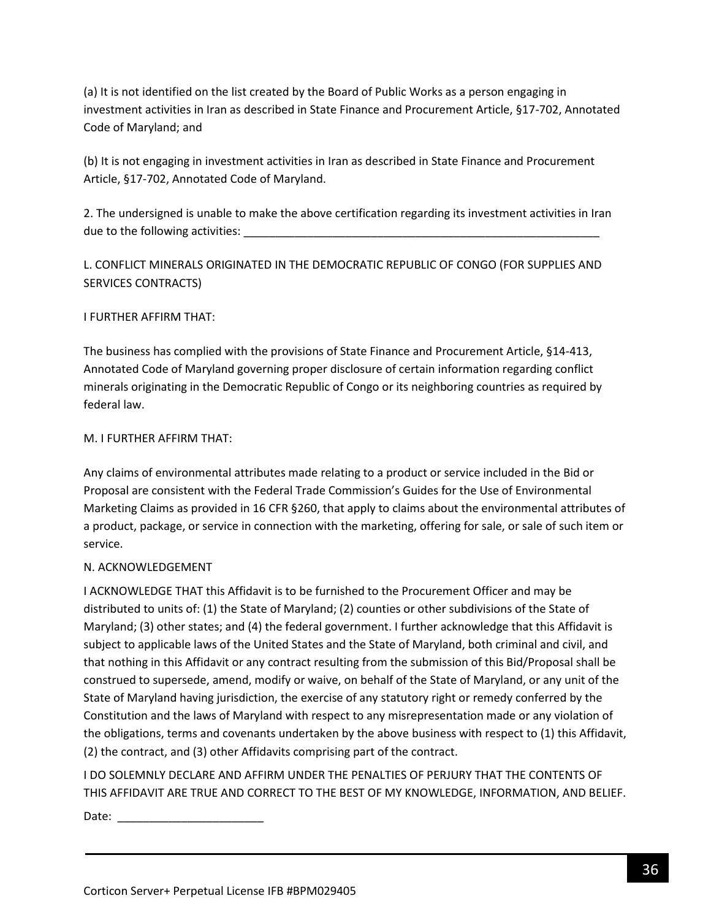(a) It is not identified on the list created by the Board of Public Works as a person engaging in investment activities in Iran as described in State Finance and Procurement Article, §17-702, Annotated Code of Maryland; and

(b) It is not engaging in investment activities in Iran as described in State Finance and Procurement Article, §17-702, Annotated Code of Maryland.

2. The undersigned is unable to make the above certification regarding its investment activities in Iran due to the following activities:

L. CONFLICT MINERALS ORIGINATED IN THE DEMOCRATIC REPUBLIC OF CONGO (FOR SUPPLIES AND SERVICES CONTRACTS)

## I FURTHER AFFIRM THAT:

The business has complied with the provisions of State Finance and Procurement Article, §14-413, Annotated Code of Maryland governing proper disclosure of certain information regarding conflict minerals originating in the Democratic Republic of Congo or its neighboring countries as required by federal law.

#### M. I FURTHER AFFIRM THAT:

Any claims of environmental attributes made relating to a product or service included in the Bid or Proposal are consistent with the Federal Trade Commission's Guides for the Use of Environmental Marketing Claims as provided in 16 CFR §260, that apply to claims about the environmental attributes of a product, package, or service in connection with the marketing, offering for sale, or sale of such item or service.

## N. ACKNOWLEDGEMENT

I ACKNOWLEDGE THAT this Affidavit is to be furnished to the Procurement Officer and may be distributed to units of: (1) the State of Maryland; (2) counties or other subdivisions of the State of Maryland; (3) other states; and (4) the federal government. I further acknowledge that this Affidavit is subject to applicable laws of the United States and the State of Maryland, both criminal and civil, and that nothing in this Affidavit or any contract resulting from the submission of this Bid/Proposal shall be construed to supersede, amend, modify or waive, on behalf of the State of Maryland, or any unit of the State of Maryland having jurisdiction, the exercise of any statutory right or remedy conferred by the Constitution and the laws of Maryland with respect to any misrepresentation made or any violation of the obligations, terms and covenants undertaken by the above business with respect to (1) this Affidavit, (2) the contract, and (3) other Affidavits comprising part of the contract.

I DO SOLEMNLY DECLARE AND AFFIRM UNDER THE PENALTIES OF PERJURY THAT THE CONTENTS OF THIS AFFIDAVIT ARE TRUE AND CORRECT TO THE BEST OF MY KNOWLEDGE, INFORMATION, AND BELIEF.

Date:  $\frac{1}{\sqrt{1-\frac{1}{2}}}$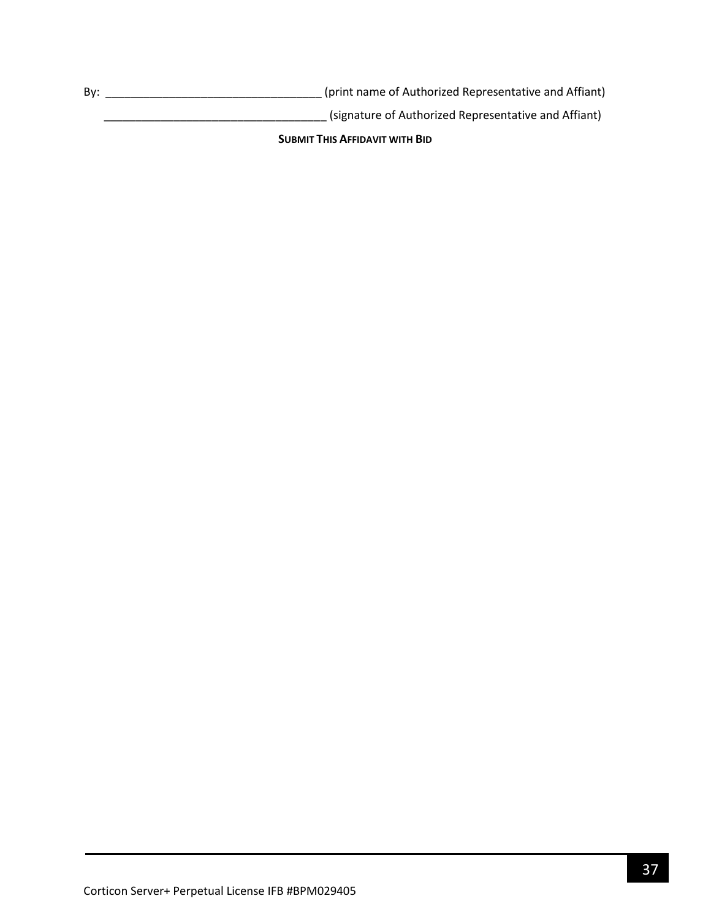By: \_\_\_\_\_\_\_\_\_\_\_\_\_\_\_\_\_\_\_\_\_\_\_\_\_\_\_\_\_\_\_\_\_\_ (print name of Authorized Representative and Affiant)

\_\_\_\_\_\_\_\_\_\_\_\_\_\_\_\_\_\_\_\_\_\_\_\_\_\_\_\_\_\_\_\_\_\_\_ (signature of Authorized Representative and Affiant)

**SUBMIT THIS AFFIDAVIT WITH BID**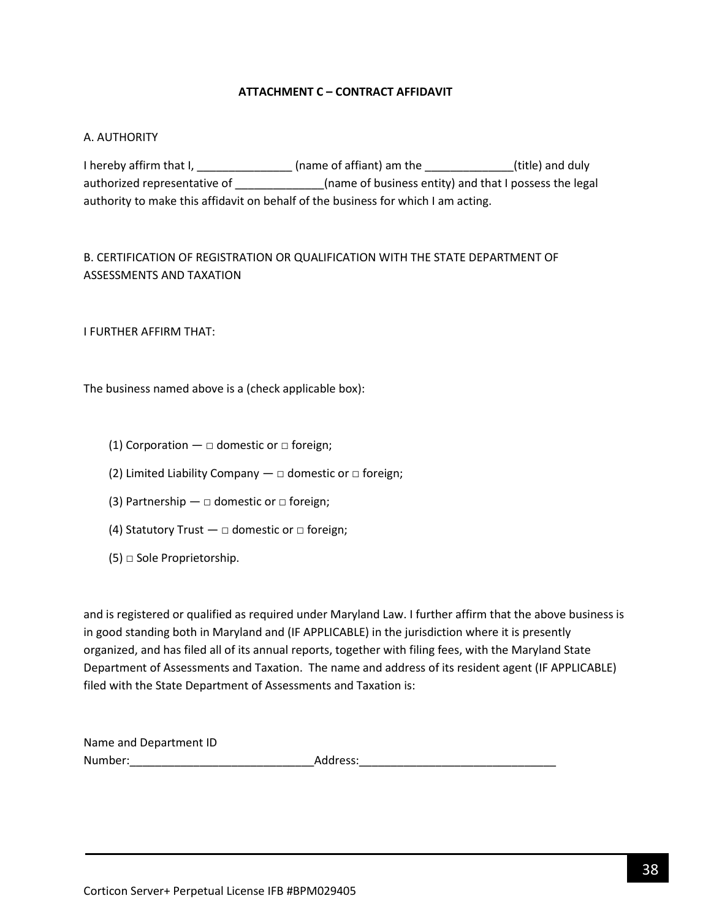### **ATTACHMENT C – CONTRACT AFFIDAVIT**

#### <span id="page-37-0"></span>A. AUTHORITY

I hereby affirm that I, \_\_\_\_\_\_\_\_\_\_\_\_\_\_\_\_\_(name of affiant) am the \_\_\_\_\_\_\_\_\_\_\_\_\_\_(title) and duly authorized representative of \_\_\_\_\_\_\_\_\_\_\_\_\_\_\_\_(name of business entity) and that I possess the legal authority to make this affidavit on behalf of the business for which I am acting.

# B. CERTIFICATION OF REGISTRATION OR QUALIFICATION WITH THE STATE DEPARTMENT OF ASSESSMENTS AND TAXATION

I FURTHER AFFIRM THAT:

The business named above is a (check applicable box):

- (1) Corporation  $\Box$  domestic or  $\Box$  foreign;
- (2) Limited Liability Company  $-\Box$  domestic or  $\Box$  foreign;
- (3) Partnership  $\Box$  domestic or  $\Box$  foreign;
- (4) Statutory Trust  $\Box$  domestic or  $\Box$  foreign;
- $(5)$   $\Box$  Sole Proprietorship.

and is registered or qualified as required under Maryland Law. I further affirm that the above business is in good standing both in Maryland and (IF APPLICABLE) in the jurisdiction where it is presently organized, and has filed all of its annual reports, together with filing fees, with the Maryland State Department of Assessments and Taxation. The name and address of its resident agent (IF APPLICABLE) filed with the State Department of Assessments and Taxation is:

| Name and Department ID |          |
|------------------------|----------|
| Number:                | Address: |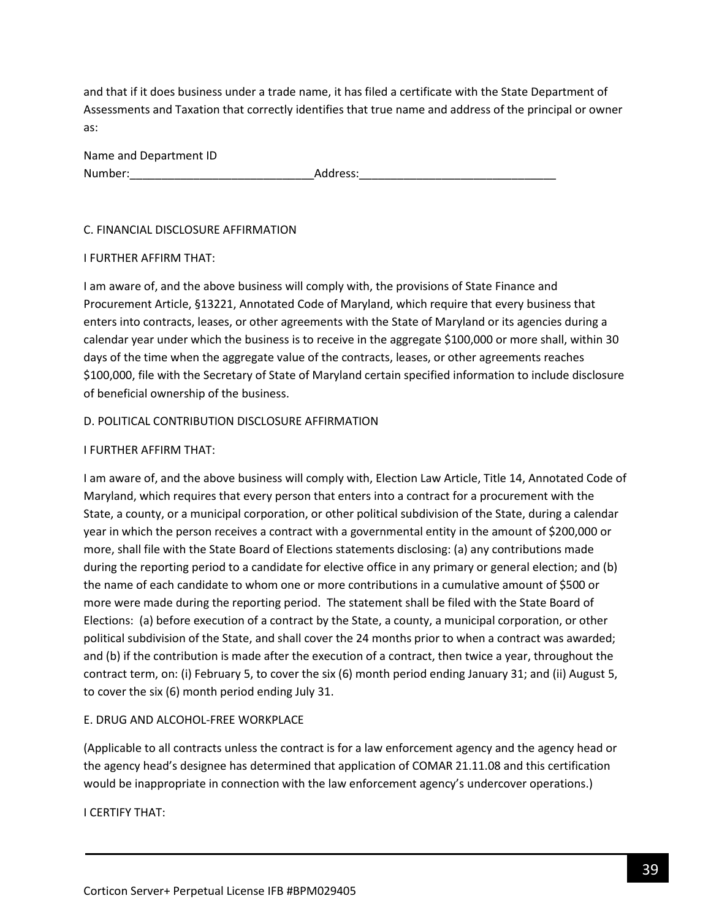and that if it does business under a trade name, it has filed a certificate with the State Department of Assessments and Taxation that correctly identifies that true name and address of the principal or owner as:

| Name and Department ID |          |
|------------------------|----------|
| Number:                | Address: |

### C. FINANCIAL DISCLOSURE AFFIRMATION

#### I FURTHER AFFIRM THAT:

I am aware of, and the above business will comply with, the provisions of State Finance and Procurement Article, §13221, Annotated Code of Maryland, which require that every business that enters into contracts, leases, or other agreements with the State of Maryland or its agencies during a calendar year under which the business is to receive in the aggregate \$100,000 or more shall, within 30 days of the time when the aggregate value of the contracts, leases, or other agreements reaches \$100,000, file with the Secretary of State of Maryland certain specified information to include disclosure of beneficial ownership of the business.

### D. POLITICAL CONTRIBUTION DISCLOSURE AFFIRMATION

### I FURTHER AFFIRM THAT:

I am aware of, and the above business will comply with, Election Law Article, Title 14, Annotated Code of Maryland, which requires that every person that enters into a contract for a procurement with the State, a county, or a municipal corporation, or other political subdivision of the State, during a calendar year in which the person receives a contract with a governmental entity in the amount of \$200,000 or more, shall file with the State Board of Elections statements disclosing: (a) any contributions made during the reporting period to a candidate for elective office in any primary or general election; and (b) the name of each candidate to whom one or more contributions in a cumulative amount of \$500 or more were made during the reporting period. The statement shall be filed with the State Board of Elections: (a) before execution of a contract by the State, a county, a municipal corporation, or other political subdivision of the State, and shall cover the 24 months prior to when a contract was awarded; and (b) if the contribution is made after the execution of a contract, then twice a year, throughout the contract term, on: (i) February 5, to cover the six (6) month period ending January 31; and (ii) August 5, to cover the six (6) month period ending July 31.

## E. DRUG AND ALCOHOL-FREE WORKPLACE

(Applicable to all contracts unless the contract is for a law enforcement agency and the agency head or the agency head's designee has determined that application of COMAR 21.11.08 and this certification would be inappropriate in connection with the law enforcement agency's undercover operations.)

I CERTIFY THAT: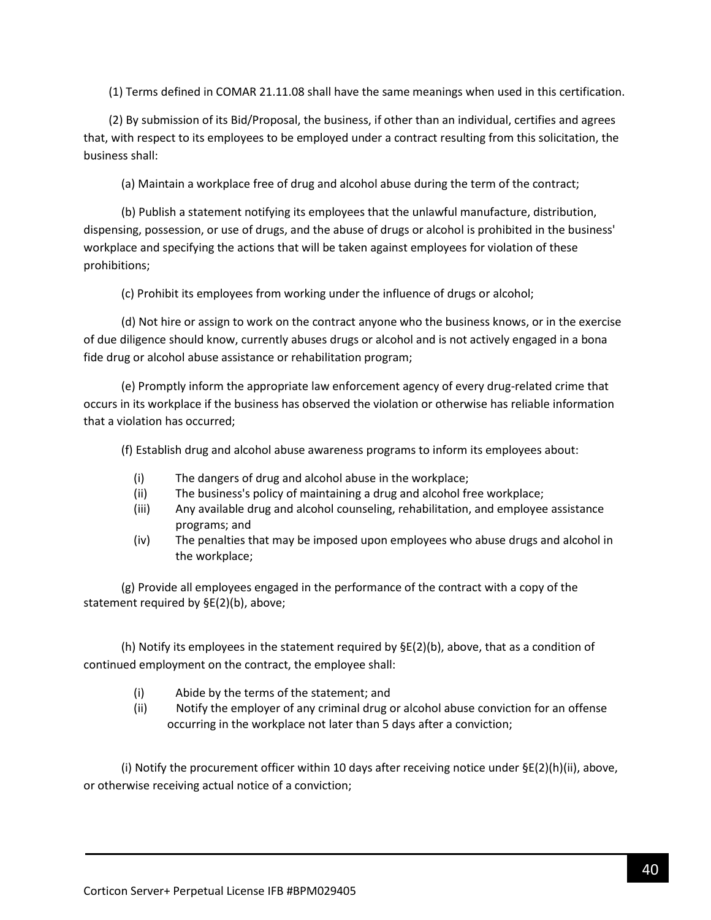(1) Terms defined in COMAR 21.11.08 shall have the same meanings when used in this certification.

(2) By submission of its Bid/Proposal, the business, if other than an individual, certifies and agrees that, with respect to its employees to be employed under a contract resulting from this solicitation, the business shall:

(a) Maintain a workplace free of drug and alcohol abuse during the term of the contract;

(b) Publish a statement notifying its employees that the unlawful manufacture, distribution, dispensing, possession, or use of drugs, and the abuse of drugs or alcohol is prohibited in the business' workplace and specifying the actions that will be taken against employees for violation of these prohibitions;

(c) Prohibit its employees from working under the influence of drugs or alcohol;

(d) Not hire or assign to work on the contract anyone who the business knows, or in the exercise of due diligence should know, currently abuses drugs or alcohol and is not actively engaged in a bona fide drug or alcohol abuse assistance or rehabilitation program;

(e) Promptly inform the appropriate law enforcement agency of every drug-related crime that occurs in its workplace if the business has observed the violation or otherwise has reliable information that a violation has occurred;

(f) Establish drug and alcohol abuse awareness programs to inform its employees about:

- (i) The dangers of drug and alcohol abuse in the workplace;
- (ii) The business's policy of maintaining a drug and alcohol free workplace;
- (iii) Any available drug and alcohol counseling, rehabilitation, and employee assistance programs; and
- (iv) The penalties that may be imposed upon employees who abuse drugs and alcohol in the workplace;

(g) Provide all employees engaged in the performance of the contract with a copy of the statement required by §E(2)(b), above;

(h) Notify its employees in the statement required by  $\Sigma(2)$ (b), above, that as a condition of continued employment on the contract, the employee shall:

- (i) Abide by the terms of the statement; and
- (ii) Notify the employer of any criminal drug or alcohol abuse conviction for an offense occurring in the workplace not later than 5 days after a conviction;

(i) Notify the procurement officer within 10 days after receiving notice under  $\Sigma(2)(h)(ii)$ , above, or otherwise receiving actual notice of a conviction;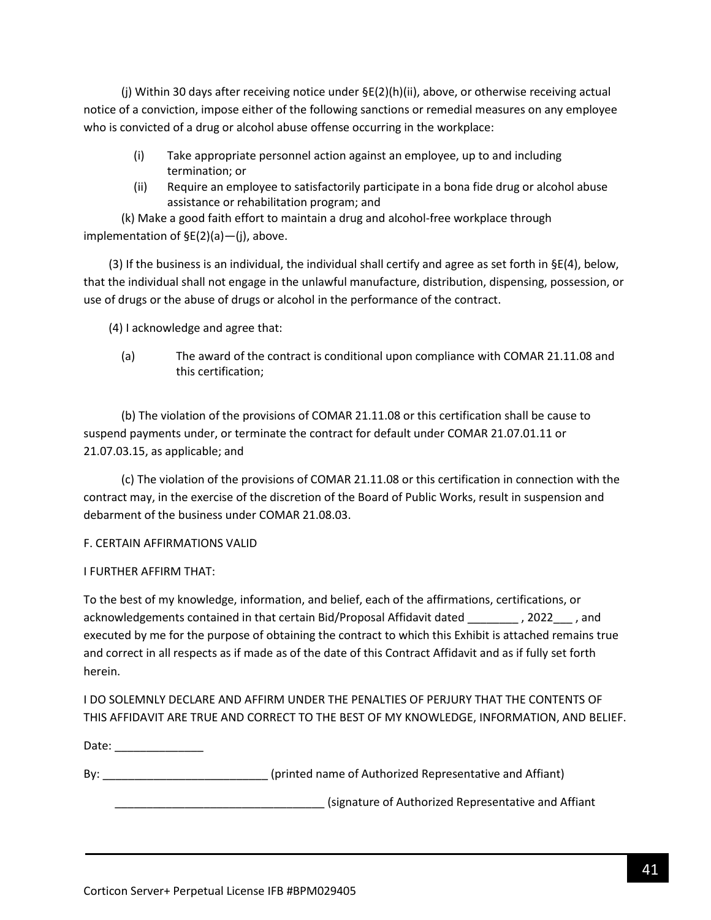(j) Within 30 days after receiving notice under §E(2)(h)(ii), above, or otherwise receiving actual notice of a conviction, impose either of the following sanctions or remedial measures on any employee who is convicted of a drug or alcohol abuse offense occurring in the workplace:

- (i) Take appropriate personnel action against an employee, up to and including termination; or
- (ii) Require an employee to satisfactorily participate in a bona fide drug or alcohol abuse assistance or rehabilitation program; and

(k) Make a good faith effort to maintain a drug and alcohol-free workplace through implementation of §E(2)(a)—(j), above.

(3) If the business is an individual, the individual shall certify and agree as set forth in  $\S E(4)$ , below, that the individual shall not engage in the unlawful manufacture, distribution, dispensing, possession, or use of drugs or the abuse of drugs or alcohol in the performance of the contract.

(4) I acknowledge and agree that:

(a) The award of the contract is conditional upon compliance with COMAR 21.11.08 and this certification;

(b) The violation of the provisions of COMAR 21.11.08 or this certification shall be cause to suspend payments under, or terminate the contract for default under COMAR 21.07.01.11 or 21.07.03.15, as applicable; and

(c) The violation of the provisions of COMAR 21.11.08 or this certification in connection with the contract may, in the exercise of the discretion of the Board of Public Works, result in suspension and debarment of the business under COMAR 21.08.03.

## F. CERTAIN AFFIRMATIONS VALID

## I FURTHER AFFIRM THAT:

To the best of my knowledge, information, and belief, each of the affirmations, certifications, or acknowledgements contained in that certain Bid/Proposal Affidavit dated \_\_\_\_\_\_\_\_ , 2022\_\_\_ , and executed by me for the purpose of obtaining the contract to which this Exhibit is attached remains true and correct in all respects as if made as of the date of this Contract Affidavit and as if fully set forth herein.

I DO SOLEMNLY DECLARE AND AFFIRM UNDER THE PENALTIES OF PERJURY THAT THE CONTENTS OF THIS AFFIDAVIT ARE TRUE AND CORRECT TO THE BEST OF MY KNOWLEDGE, INFORMATION, AND BELIEF.

Date: \_\_\_\_\_\_\_\_\_\_\_\_\_\_\_

By: example and the state of authorized Representative and Affiant)

\_\_\_\_\_\_\_\_\_\_\_\_\_\_\_\_\_\_\_\_\_\_\_\_\_\_\_\_\_\_\_\_\_ (signature of Authorized Representative and Affiant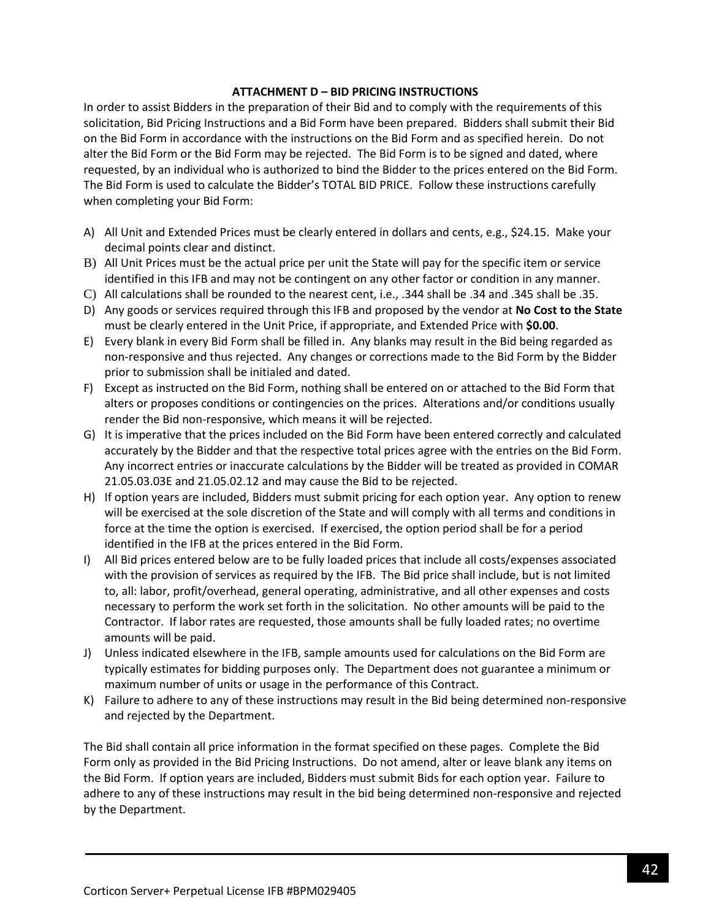### **ATTACHMENT D – BID PRICING INSTRUCTIONS**

In order to assist Bidders in the preparation of their Bid and to comply with the requirements of this solicitation, Bid Pricing Instructions and a Bid Form have been prepared. Bidders shall submit their Bid on the Bid Form in accordance with the instructions on the Bid Form and as specified herein. Do not alter the Bid Form or the Bid Form may be rejected. The Bid Form is to be signed and dated, where requested, by an individual who is authorized to bind the Bidder to the prices entered on the Bid Form. The Bid Form is used to calculate the Bidder's TOTAL BID PRICE. Follow these instructions carefully when completing your Bid Form:

- A) All Unit and Extended Prices must be clearly entered in dollars and cents, e.g., \$24.15. Make your decimal points clear and distinct.
- B) All Unit Prices must be the actual price per unit the State will pay for the specific item or service identified in this IFB and may not be contingent on any other factor or condition in any manner.
- C) All calculations shall be rounded to the nearest cent, i.e., .344 shall be .34 and .345 shall be .35.
- D) Any goods or services required through this IFB and proposed by the vendor at **No Cost to the State** must be clearly entered in the Unit Price, if appropriate, and Extended Price with **\$0.00**.
- E) Every blank in every Bid Form shall be filled in. Any blanks may result in the Bid being regarded as non-responsive and thus rejected. Any changes or corrections made to the Bid Form by the Bidder prior to submission shall be initialed and dated.
- F) Except as instructed on the Bid Form, nothing shall be entered on or attached to the Bid Form that alters or proposes conditions or contingencies on the prices. Alterations and/or conditions usually render the Bid non-responsive, which means it will be rejected.
- G) It is imperative that the prices included on the Bid Form have been entered correctly and calculated accurately by the Bidder and that the respective total prices agree with the entries on the Bid Form. Any incorrect entries or inaccurate calculations by the Bidder will be treated as provided in COMAR 21.05.03.03E and 21.05.02.12 and may cause the Bid to be rejected.
- H) If option years are included, Bidders must submit pricing for each option year. Any option to renew will be exercised at the sole discretion of the State and will comply with all terms and conditions in force at the time the option is exercised. If exercised, the option period shall be for a period identified in the IFB at the prices entered in the Bid Form.
- I) All Bid prices entered below are to be fully loaded prices that include all costs/expenses associated with the provision of services as required by the IFB. The Bid price shall include, but is not limited to, all: labor, profit/overhead, general operating, administrative, and all other expenses and costs necessary to perform the work set forth in the solicitation. No other amounts will be paid to the Contractor. If labor rates are requested, those amounts shall be fully loaded rates; no overtime amounts will be paid.
- J) Unless indicated elsewhere in the IFB, sample amounts used for calculations on the Bid Form are typically estimates for bidding purposes only. The Department does not guarantee a minimum or maximum number of units or usage in the performance of this Contract.
- K) Failure to adhere to any of these instructions may result in the Bid being determined non-responsive and rejected by the Department.

The Bid shall contain all price information in the format specified on these pages. Complete the Bid Form only as provided in the Bid Pricing Instructions. Do not amend, alter or leave blank any items on the Bid Form. If option years are included, Bidders must submit Bids for each option year. Failure to adhere to any of these instructions may result in the bid being determined non-responsive and rejected by the Department.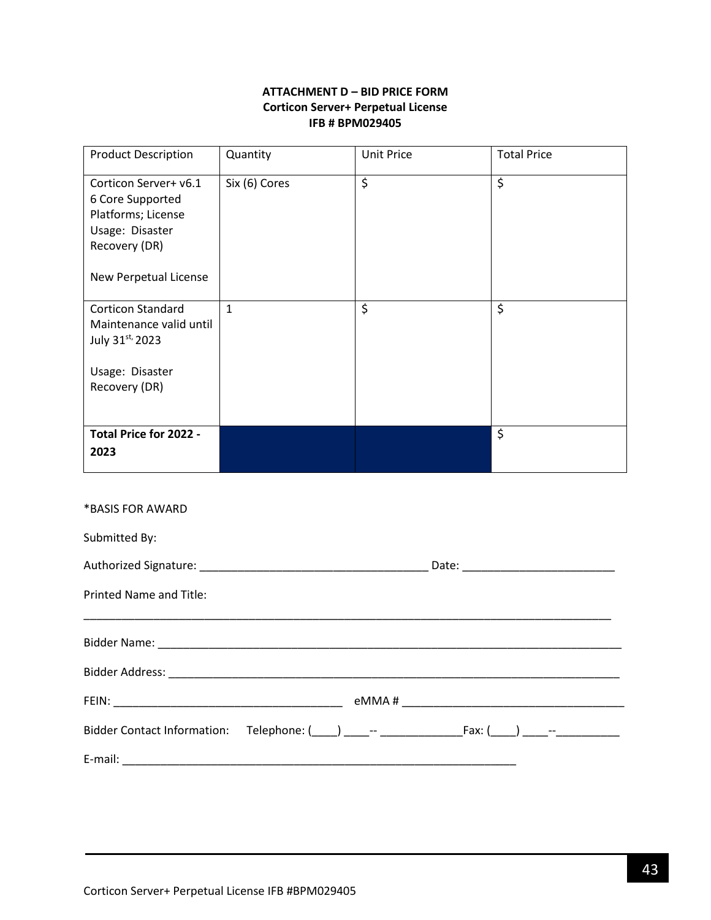## **ATTACHMENT D – BID PRICE FORM Corticon Server+ Perpetual License IFB # BPM029405**

<span id="page-42-0"></span>

| <b>Product Description</b>                                                                                                   | Quantity      | <b>Unit Price</b> | <b>Total Price</b> |
|------------------------------------------------------------------------------------------------------------------------------|---------------|-------------------|--------------------|
| Corticon Server+ v6.1<br>6 Core Supported<br>Platforms; License<br>Usage: Disaster<br>Recovery (DR)<br>New Perpetual License | Six (6) Cores | \$                | \$                 |
| <b>Corticon Standard</b><br>Maintenance valid until<br>July 31st, 2023                                                       | $\mathbf{1}$  | \$                | \$                 |
| Usage: Disaster<br>Recovery (DR)                                                                                             |               |                   |                    |
| Total Price for 2022 -<br>2023                                                                                               |               |                   | \$                 |

#### \*BASIS FOR AWARD

| Submitted By:                                                 |  |  |
|---------------------------------------------------------------|--|--|
|                                                               |  |  |
| Printed Name and Title:                                       |  |  |
|                                                               |  |  |
|                                                               |  |  |
|                                                               |  |  |
| Bidder Contact Information: Telephone: ( ) - -- Fax: ( ) - -- |  |  |
|                                                               |  |  |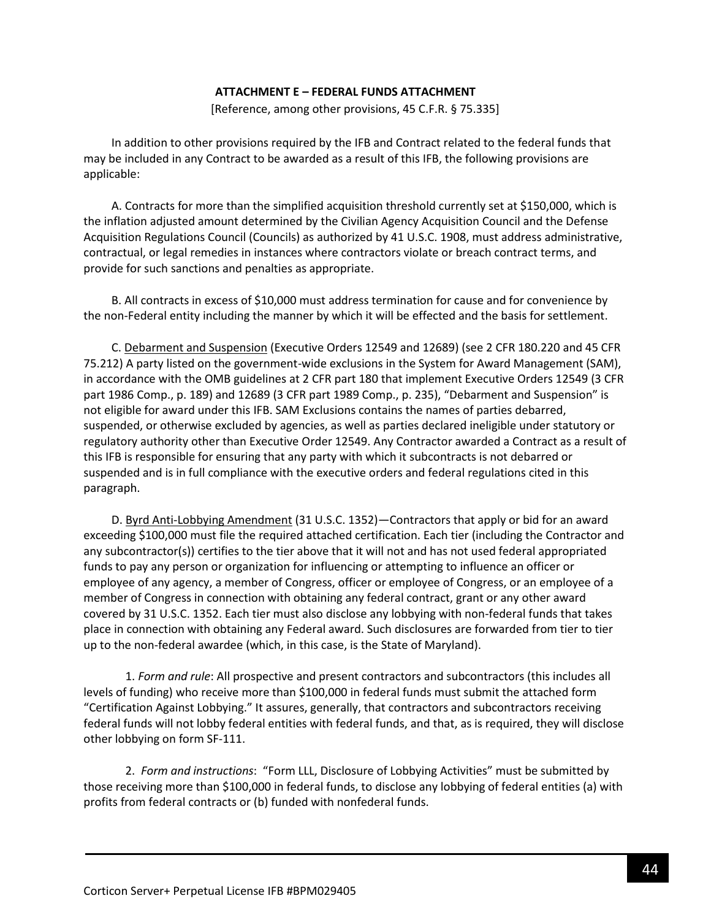#### **ATTACHMENT E – FEDERAL FUNDS ATTACHMENT**

[Reference, among other provisions, 45 C.F.R. § 75.335]

<span id="page-43-0"></span>In addition to other provisions required by the IFB and Contract related to the federal funds that may be included in any Contract to be awarded as a result of this IFB, the following provisions are applicable:

A. Contracts for more than the simplified acquisition threshold currently set at \$150,000, which is the inflation adjusted amount determined by the Civilian Agency Acquisition Council and the Defense Acquisition Regulations Council (Councils) as authorized by 41 U.S.C. 1908, must address administrative, contractual, or legal remedies in instances where contractors violate or breach contract terms, and provide for such sanctions and penalties as appropriate.

B. All contracts in excess of \$10,000 must address termination for cause and for convenience by the non-Federal entity including the manner by which it will be effected and the basis for settlement.

C. Debarment and Suspension (Executive Orders 12549 and 12689) (see 2 CFR 180.220 and 45 CFR 75.212) A party listed on the government-wide exclusions in the System for Award Management (SAM), in accordance with the OMB guidelines at 2 CFR part 180 that implement Executive Orders 12549 (3 CFR part 1986 Comp., p. 189) and 12689 (3 CFR part 1989 Comp., p. 235), "Debarment and Suspension" is not eligible for award under this IFB. SAM Exclusions contains the names of parties debarred, suspended, or otherwise excluded by agencies, as well as parties declared ineligible under statutory or regulatory authority other than Executive Order 12549. Any Contractor awarded a Contract as a result of this IFB is responsible for ensuring that any party with which it subcontracts is not debarred or suspended and is in full compliance with the executive orders and federal regulations cited in this paragraph.

D. Byrd Anti-Lobbying Amendment (31 U.S.C. 1352)—Contractors that apply or bid for an award exceeding \$100,000 must file the required attached certification. Each tier (including the Contractor and any subcontractor(s)) certifies to the tier above that it will not and has not used federal appropriated funds to pay any person or organization for influencing or attempting to influence an officer or employee of any agency, a member of Congress, officer or employee of Congress, or an employee of a member of Congress in connection with obtaining any federal contract, grant or any other award covered by 31 U.S.C. 1352. Each tier must also disclose any lobbying with non-federal funds that takes place in connection with obtaining any Federal award. Such disclosures are forwarded from tier to tier up to the non-federal awardee (which, in this case, is the State of Maryland).

1. *Form and rule*: All prospective and present contractors and subcontractors (this includes all levels of funding) who receive more than \$100,000 in federal funds must submit the attached form "Certification Against Lobbying." It assures, generally, that contractors and subcontractors receiving federal funds will not lobby federal entities with federal funds, and that, as is required, they will disclose other lobbying on form SF-111.

2. *Form and instructions*: "Form LLL, Disclosure of Lobbying Activities" must be submitted by those receiving more than \$100,000 in federal funds, to disclose any lobbying of federal entities (a) with profits from federal contracts or (b) funded with nonfederal funds.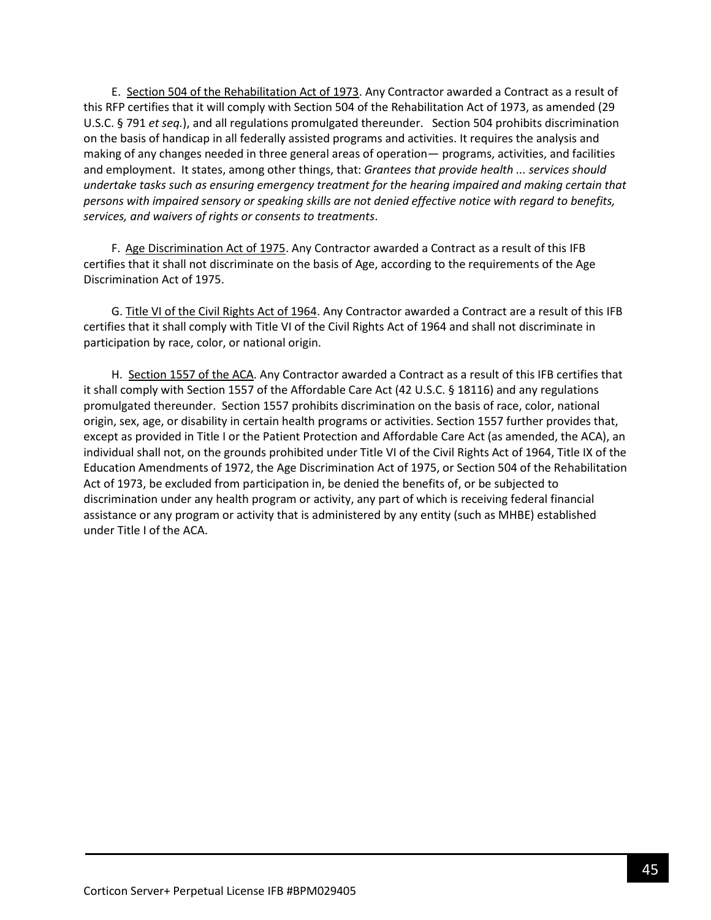E. Section 504 of the Rehabilitation Act of 1973. Any Contractor awarded a Contract as a result of this RFP certifies that it will comply with Section 504 of the Rehabilitation Act of 1973, as amended (29 U.S.C. § 791 *et seq.*), and all regulations promulgated thereunder. Section 504 prohibits discrimination on the basis of handicap in all federally assisted programs and activities. It requires the analysis and making of any changes needed in three general areas of operation— programs, activities, and facilities and employment. It states, among other things, that: *Grantees that provide health ... services should undertake tasks such as ensuring emergency treatment for the hearing impaired and making certain that persons with impaired sensory or speaking skills are not denied effective notice with regard to benefits, services, and waivers of rights or consents to treatments*.

F. Age Discrimination Act of 1975. Any Contractor awarded a Contract as a result of this IFB certifies that it shall not discriminate on the basis of Age, according to the requirements of the Age Discrimination Act of 1975.

G. Title VI of the Civil Rights Act of 1964. Any Contractor awarded a Contract are a result of this IFB certifies that it shall comply with Title VI of the Civil Rights Act of 1964 and shall not discriminate in participation by race, color, or national origin.

H. Section 1557 of the ACA. Any Contractor awarded a Contract as a result of this IFB certifies that it shall comply with Section 1557 of the Affordable Care Act (42 U.S.C. § 18116) and any regulations promulgated thereunder. Section 1557 prohibits discrimination on the basis of race, color, national origin, sex, age, or disability in certain health programs or activities. Section 1557 further provides that, except as provided in Title I or the Patient Protection and Affordable Care Act (as amended, the ACA), an individual shall not, on the grounds prohibited under Title VI of the Civil Rights Act of 1964, Title IX of the Education Amendments of 1972, the Age Discrimination Act of 1975, or Section 504 of the Rehabilitation Act of 1973, be excluded from participation in, be denied the benefits of, or be subjected to discrimination under any health program or activity, any part of which is receiving federal financial assistance or any program or activity that is administered by any entity (such as MHBE) established under Title I of the ACA.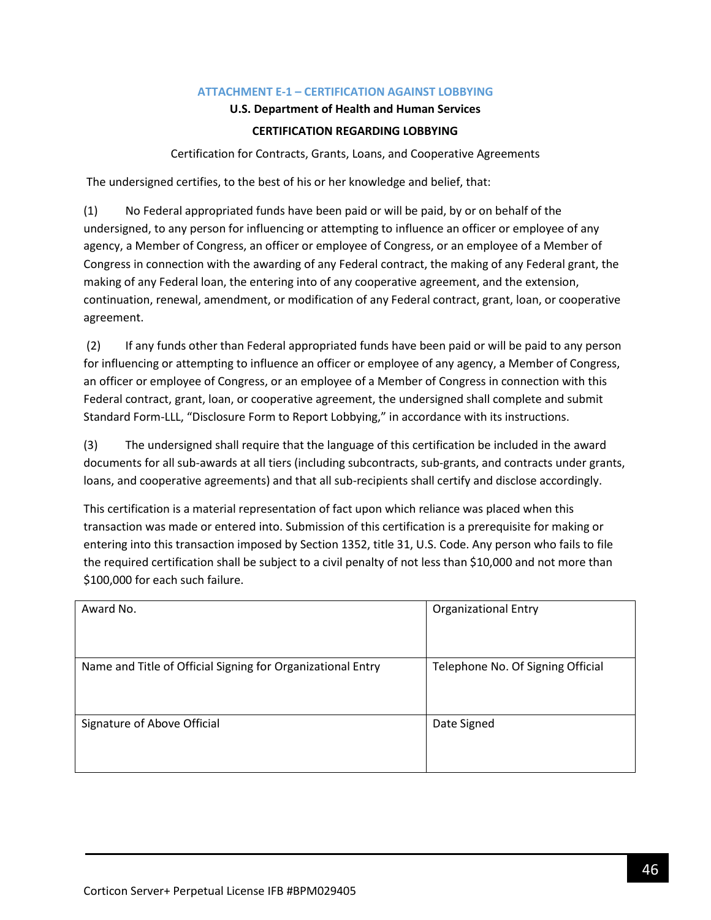### **ATTACHMENT E-1 – CERTIFICATION AGAINST LOBBYING**

### **U.S. Department of Health and Human Services**

### **CERTIFICATION REGARDING LOBBYING**

Certification for Contracts, Grants, Loans, and Cooperative Agreements

<span id="page-45-0"></span>The undersigned certifies, to the best of his or her knowledge and belief, that:

(1) No Federal appropriated funds have been paid or will be paid, by or on behalf of the undersigned, to any person for influencing or attempting to influence an officer or employee of any agency, a Member of Congress, an officer or employee of Congress, or an employee of a Member of Congress in connection with the awarding of any Federal contract, the making of any Federal grant, the making of any Federal loan, the entering into of any cooperative agreement, and the extension, continuation, renewal, amendment, or modification of any Federal contract, grant, loan, or cooperative agreement.

(2) If any funds other than Federal appropriated funds have been paid or will be paid to any person for influencing or attempting to influence an officer or employee of any agency, a Member of Congress, an officer or employee of Congress, or an employee of a Member of Congress in connection with this Federal contract, grant, loan, or cooperative agreement, the undersigned shall complete and submit Standard Form-LLL, "Disclosure Form to Report Lobbying," in accordance with its instructions.

(3) The undersigned shall require that the language of this certification be included in the award documents for all sub-awards at all tiers (including subcontracts, sub-grants, and contracts under grants, loans, and cooperative agreements) and that all sub-recipients shall certify and disclose accordingly.

This certification is a material representation of fact upon which reliance was placed when this transaction was made or entered into. Submission of this certification is a prerequisite for making or entering into this transaction imposed by Section 1352, title 31, U.S. Code. Any person who fails to file the required certification shall be subject to a civil penalty of not less than \$10,000 and not more than \$100,000 for each such failure.

| Award No.                                                   | <b>Organizational Entry</b>       |
|-------------------------------------------------------------|-----------------------------------|
| Name and Title of Official Signing for Organizational Entry | Telephone No. Of Signing Official |
| Signature of Above Official                                 | Date Signed                       |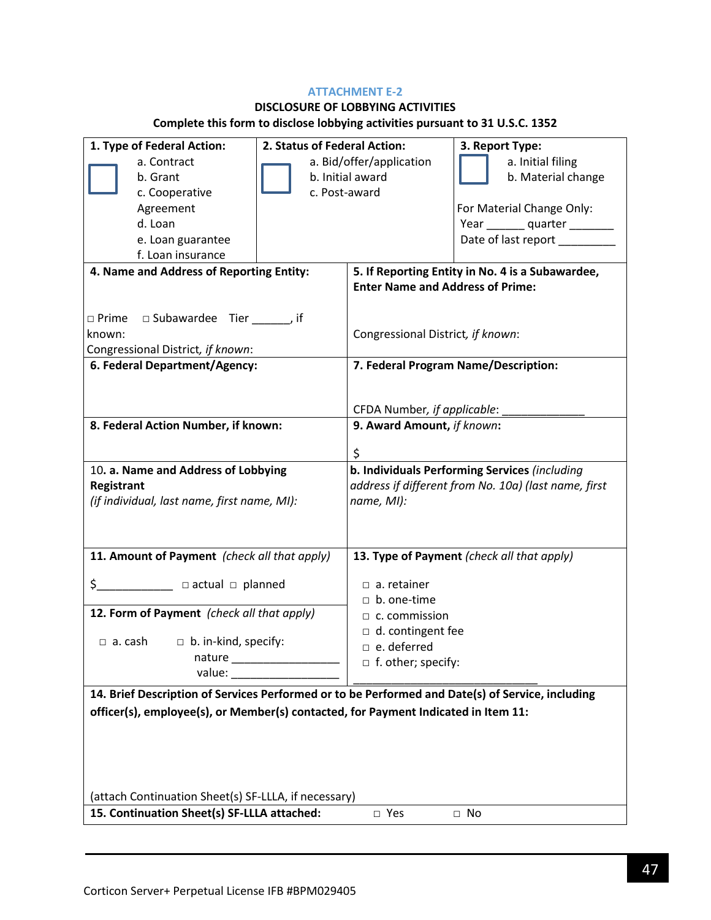### **ATTACHMENT E-2**

# **DISCLOSURE OF LOBBYING ACTIVITIES**

# **Complete this form to disclose lobbying activities pursuant to 31 U.S.C. 1352**

| 1. Type of Federal Action:                                                                       | 2. Status of Federal Action: |                                         | 3. Report Type:                                      |  |
|--------------------------------------------------------------------------------------------------|------------------------------|-----------------------------------------|------------------------------------------------------|--|
| a. Contract                                                                                      | a. Bid/offer/application     |                                         | a. Initial filing                                    |  |
| b. Grant                                                                                         | b. Initial award             |                                         | b. Material change                                   |  |
| c. Cooperative                                                                                   | c. Post-award                |                                         |                                                      |  |
| Agreement                                                                                        |                              |                                         | For Material Change Only:                            |  |
| d. Loan                                                                                          |                              |                                         | Year ________ quarter ________                       |  |
| e. Loan guarantee                                                                                |                              |                                         | Date of last report _________                        |  |
| f. Loan insurance                                                                                |                              |                                         |                                                      |  |
| 4. Name and Address of Reporting Entity:                                                         |                              |                                         | 5. If Reporting Entity in No. 4 is a Subawardee,     |  |
|                                                                                                  |                              | <b>Enter Name and Address of Prime:</b> |                                                      |  |
|                                                                                                  |                              |                                         |                                                      |  |
| $\Box$ Prime $\Box$ Subawardee Tier ______, if                                                   |                              |                                         |                                                      |  |
| known:                                                                                           |                              |                                         | Congressional District, if known:                    |  |
| Congressional District, if known:                                                                |                              |                                         |                                                      |  |
| 6. Federal Department/Agency:                                                                    |                              |                                         | 7. Federal Program Name/Description:                 |  |
|                                                                                                  |                              |                                         |                                                      |  |
|                                                                                                  |                              | CFDA Number, if applicable:             |                                                      |  |
| 8. Federal Action Number, if known:                                                              |                              | 9. Award Amount, if known:              |                                                      |  |
|                                                                                                  |                              |                                         |                                                      |  |
|                                                                                                  |                              | \$                                      |                                                      |  |
| 10. a. Name and Address of Lobbying                                                              |                              |                                         | b. Individuals Performing Services (including        |  |
| Registrant                                                                                       |                              |                                         | address if different from No. 10a) (last name, first |  |
| (if individual, last name, first name, MI):                                                      |                              | name, MI):                              |                                                      |  |
|                                                                                                  |                              |                                         |                                                      |  |
|                                                                                                  |                              |                                         |                                                      |  |
| 11. Amount of Payment (check all that apply)                                                     |                              |                                         | 13. Type of Payment (check all that apply)           |  |
| \$______________ □ actual □ planned                                                              |                              | $\Box$ a. retainer                      |                                                      |  |
|                                                                                                  |                              | $\Box$ b. one-time                      |                                                      |  |
| 12. Form of Payment (check all that apply)                                                       |                              | $\Box$ c. commission                    |                                                      |  |
|                                                                                                  |                              | $\Box$ d. contingent fee                |                                                      |  |
| $\Box$ a. cash $\Box$ b. in-kind, specify:                                                       |                              | $\Box$ e. deferred                      |                                                      |  |
| nature                                                                                           |                              | $\Box$ f. other; specify:               |                                                      |  |
|                                                                                                  |                              |                                         |                                                      |  |
| 14. Brief Description of Services Performed or to be Performed and Date(s) of Service, including |                              |                                         |                                                      |  |
| officer(s), employee(s), or Member(s) contacted, for Payment Indicated in Item 11:               |                              |                                         |                                                      |  |
|                                                                                                  |                              |                                         |                                                      |  |
|                                                                                                  |                              |                                         |                                                      |  |
|                                                                                                  |                              |                                         |                                                      |  |
|                                                                                                  |                              |                                         |                                                      |  |
| (attach Continuation Sheet(s) SF-LLLA, if necessary)                                             |                              |                                         |                                                      |  |
| 15. Continuation Sheet(s) SF-LLLA attached:                                                      |                              | □ Yes                                   | $\Box$ No                                            |  |
|                                                                                                  |                              |                                         |                                                      |  |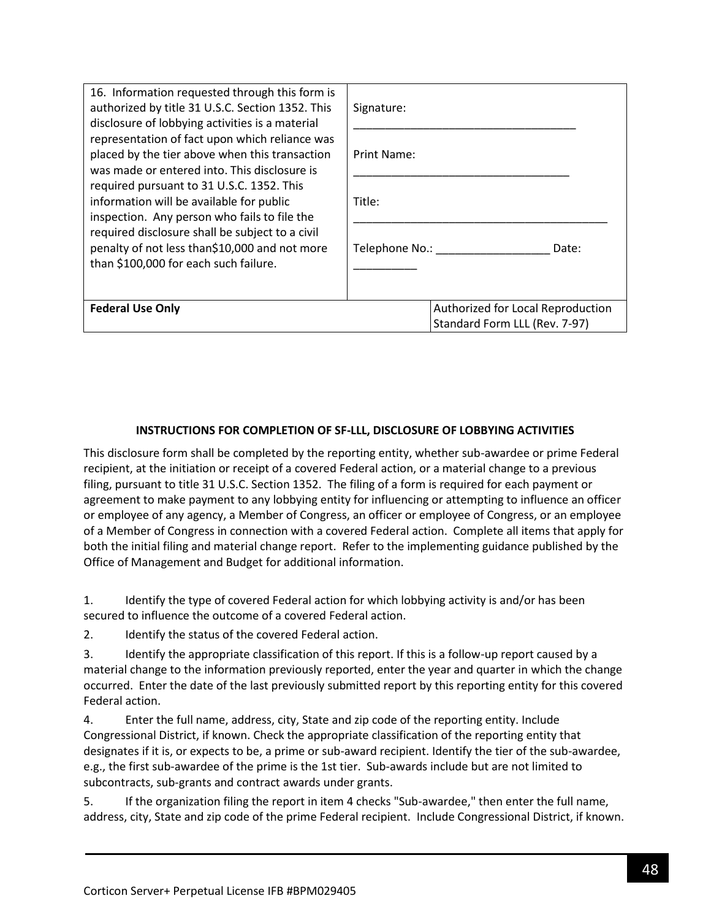| 16. Information requested through this form is<br>authorized by title 31 U.S.C. Section 1352. This<br>disclosure of lobbying activities is a material                                                                                                                                                                                                                                                                                  | Signature:                                                         |  |
|----------------------------------------------------------------------------------------------------------------------------------------------------------------------------------------------------------------------------------------------------------------------------------------------------------------------------------------------------------------------------------------------------------------------------------------|--------------------------------------------------------------------|--|
| representation of fact upon which reliance was<br>placed by the tier above when this transaction<br>was made or entered into. This disclosure is<br>required pursuant to 31 U.S.C. 1352. This<br>information will be available for public<br>inspection. Any person who fails to file the<br>required disclosure shall be subject to a civil<br>penalty of not less than\$10,000 and not more<br>than \$100,000 for each such failure. | Print Name:                                                        |  |
|                                                                                                                                                                                                                                                                                                                                                                                                                                        | Title:                                                             |  |
|                                                                                                                                                                                                                                                                                                                                                                                                                                        | Telephone No.:<br>Date:                                            |  |
| <b>Federal Use Only</b>                                                                                                                                                                                                                                                                                                                                                                                                                | Authorized for Local Reproduction<br>Standard Form LLL (Rev. 7-97) |  |

### **INSTRUCTIONS FOR COMPLETION OF SF-LLL, DISCLOSURE OF LOBBYING ACTIVITIES**

This disclosure form shall be completed by the reporting entity, whether sub-awardee or prime Federal recipient, at the initiation or receipt of a covered Federal action, or a material change to a previous filing, pursuant to title 31 U.S.C. Section 1352. The filing of a form is required for each payment or agreement to make payment to any lobbying entity for influencing or attempting to influence an officer or employee of any agency, a Member of Congress, an officer or employee of Congress, or an employee of a Member of Congress in connection with a covered Federal action. Complete all items that apply for both the initial filing and material change report. Refer to the implementing guidance published by the Office of Management and Budget for additional information.

1. Identify the type of covered Federal action for which lobbying activity is and/or has been secured to influence the outcome of a covered Federal action.

2. Identify the status of the covered Federal action.

3. Identify the appropriate classification of this report. If this is a follow-up report caused by a material change to the information previously reported, enter the year and quarter in which the change occurred. Enter the date of the last previously submitted report by this reporting entity for this covered Federal action.

4. Enter the full name, address, city, State and zip code of the reporting entity. Include Congressional District, if known. Check the appropriate classification of the reporting entity that designates if it is, or expects to be, a prime or sub-award recipient. Identify the tier of the sub-awardee, e.g., the first sub-awardee of the prime is the 1st tier. Sub-awards include but are not limited to subcontracts, sub-grants and contract awards under grants.

5. If the organization filing the report in item 4 checks "Sub-awardee," then enter the full name, address, city, State and zip code of the prime Federal recipient. Include Congressional District, if known.